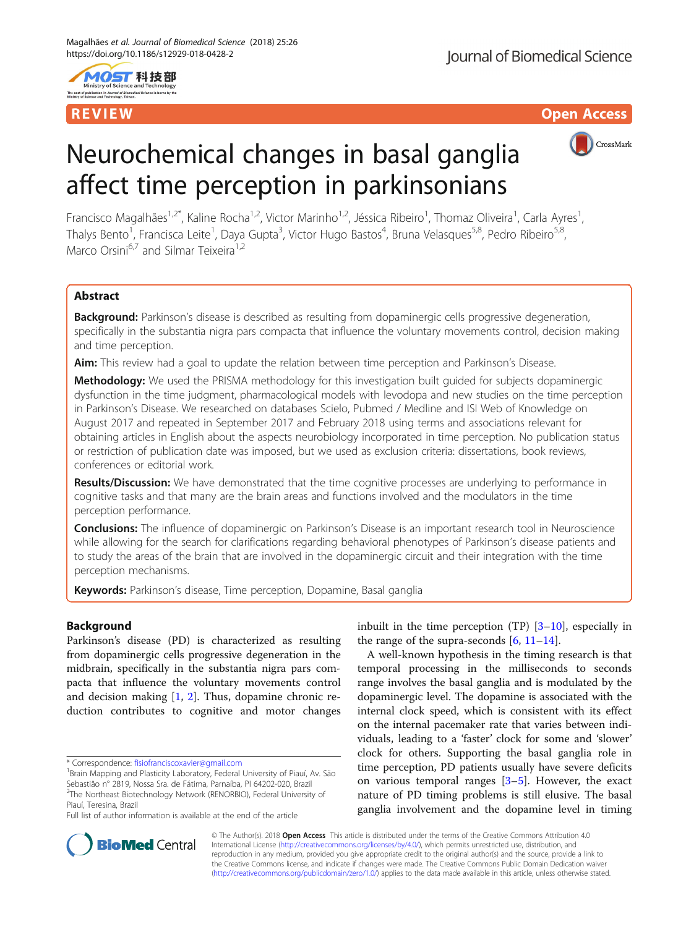

R EVI EW Open Access and the contract of the contract of the contract of the contract of the contract of the c



# Neurochemical changes in basal ganglia affect time perception in parkinsonians

Francisco Magalhães<sup>1,2\*</sup>, Kaline Rocha<sup>1,2</sup>, Victor Marinho<sup>1,2</sup>, Jéssica Ribeiro<sup>1</sup>, Thomaz Oliveira<sup>1</sup>, Carla Ayres<sup>1</sup> , Thalys Bento<sup>1</sup>, Francisca Leite<sup>1</sup>, Daya Gupta<sup>3</sup>, Victor Hugo Bastos<sup>4</sup>, Bruna Velasques<sup>5,8</sup>, Pedro Ribeiro<sup>5,8</sup>, Marco Orsini<sup>6,7</sup> and Silmar Teixeira<sup>1,2</sup>

#### Abstract

**Background:** Parkinson's disease is described as resulting from dopaminergic cells progressive degeneration, specifically in the substantia nigra pars compacta that influence the voluntary movements control, decision making and time perception.

Aim: This review had a goal to update the relation between time perception and Parkinson's Disease.

Methodology: We used the PRISMA methodology for this investigation built guided for subjects dopaminergic dysfunction in the time judgment, pharmacological models with levodopa and new studies on the time perception in Parkinson's Disease. We researched on databases Scielo, Pubmed / Medline and ISI Web of Knowledge on August 2017 and repeated in September 2017 and February 2018 using terms and associations relevant for obtaining articles in English about the aspects neurobiology incorporated in time perception. No publication status or restriction of publication date was imposed, but we used as exclusion criteria: dissertations, book reviews, conferences or editorial work.

Results/Discussion: We have demonstrated that the time cognitive processes are underlying to performance in cognitive tasks and that many are the brain areas and functions involved and the modulators in the time perception performance.

**Conclusions:** The influence of dopaminergic on Parkinson's Disease is an important research tool in Neuroscience while allowing for the search for clarifications regarding behavioral phenotypes of Parkinson's disease patients and to study the areas of the brain that are involved in the dopaminergic circuit and their integration with the time perception mechanisms.

Keywords: Parkinson's disease, Time perception, Dopamine, Basal ganglia

#### Background

Parkinson's disease (PD) is characterized as resulting from dopaminergic cells progressive degeneration in the midbrain, specifically in the substantia nigra pars compacta that influence the voluntary movements control and decision making [\[1](#page-11-0), [2\]](#page-11-0). Thus, dopamine chronic reduction contributes to cognitive and motor changes

\* Correspondence: [fisiofranciscoxavier@gmail.com](mailto:fisiofranciscoxavier@gmail.com) <sup>1</sup>

Piauí, Teresina, Brazil

Full list of author information is available at the end of the article

inbuilt in the time perception (TP) [\[3](#page-11-0)–[10\]](#page-11-0), especially in the range of the supra-seconds  $[6, 11-14]$  $[6, 11-14]$  $[6, 11-14]$  $[6, 11-14]$  $[6, 11-14]$ .

A well-known hypothesis in the timing research is that temporal processing in the milliseconds to seconds range involves the basal ganglia and is modulated by the dopaminergic level. The dopamine is associated with the internal clock speed, which is consistent with its effect on the internal pacemaker rate that varies between individuals, leading to a 'faster' clock for some and 'slower' clock for others. Supporting the basal ganglia role in time perception, PD patients usually have severe deficits on various temporal ranges  $[3-5]$  $[3-5]$  $[3-5]$  $[3-5]$  $[3-5]$ . However, the exact nature of PD timing problems is still elusive. The basal ganglia involvement and the dopamine level in timing



© The Author(s). 2018 Open Access This article is distributed under the terms of the Creative Commons Attribution 4.0 International License [\(http://creativecommons.org/licenses/by/4.0/](http://creativecommons.org/licenses/by/4.0/)), which permits unrestricted use, distribution, and reproduction in any medium, provided you give appropriate credit to the original author(s) and the source, provide a link to the Creative Commons license, and indicate if changes were made. The Creative Commons Public Domain Dedication waiver [\(http://creativecommons.org/publicdomain/zero/1.0/](http://creativecommons.org/publicdomain/zero/1.0/)) applies to the data made available in this article, unless otherwise stated.

<sup>&</sup>lt;sup>1</sup> Brain Mapping and Plasticity Laboratory, Federal University of Piauí, Av. São Sebastião n° 2819, Nossa Sra. de Fátima, Parnaíba, PI 64202-020, Brazil <sup>2</sup>The Northeast Biotechnology Network (RENORBIO), Federal University of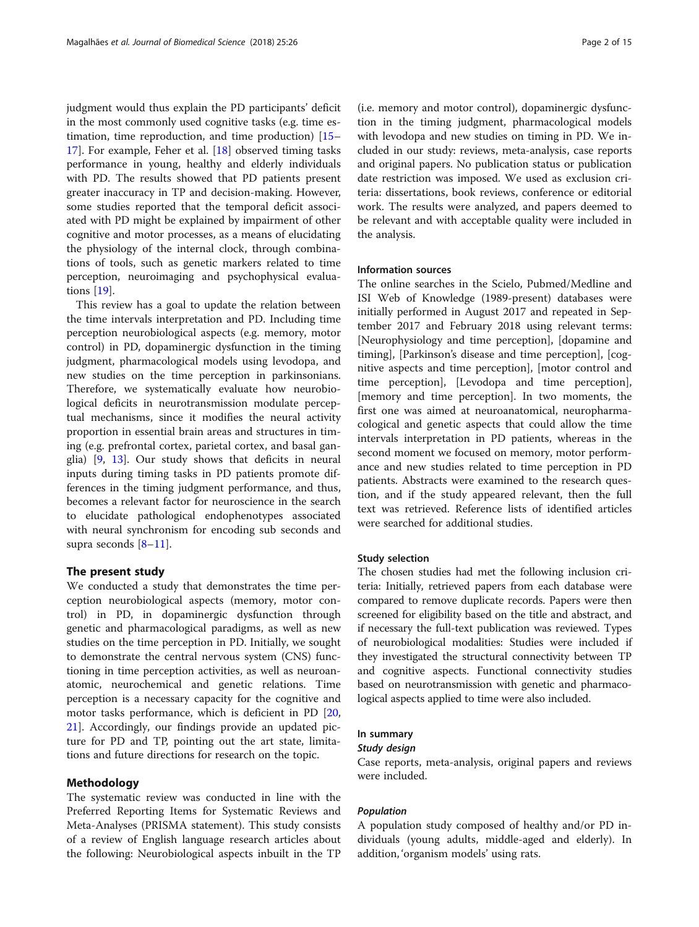judgment would thus explain the PD participants' deficit in the most commonly used cognitive tasks (e.g. time estimation, time reproduction, and time production) [[15](#page-11-0)– [17\]](#page-11-0). For example, Feher et al. [\[18](#page-11-0)] observed timing tasks performance in young, healthy and elderly individuals with PD. The results showed that PD patients present greater inaccuracy in TP and decision-making. However, some studies reported that the temporal deficit associated with PD might be explained by impairment of other cognitive and motor processes, as a means of elucidating the physiology of the internal clock, through combinations of tools, such as genetic markers related to time perception, neuroimaging and psychophysical evaluations [[19\]](#page-11-0).

This review has a goal to update the relation between the time intervals interpretation and PD. Including time perception neurobiological aspects (e.g. memory, motor control) in PD, dopaminergic dysfunction in the timing judgment, pharmacological models using levodopa, and new studies on the time perception in parkinsonians. Therefore, we systematically evaluate how neurobiological deficits in neurotransmission modulate perceptual mechanisms, since it modifies the neural activity proportion in essential brain areas and structures in timing (e.g. prefrontal cortex, parietal cortex, and basal ganglia) [[9,](#page-11-0) [13\]](#page-11-0). Our study shows that deficits in neural inputs during timing tasks in PD patients promote differences in the timing judgment performance, and thus, becomes a relevant factor for neuroscience in the search to elucidate pathological endophenotypes associated with neural synchronism for encoding sub seconds and supra seconds [\[8](#page-11-0)–[11](#page-11-0)].

#### The present study

We conducted a study that demonstrates the time perception neurobiological aspects (memory, motor control) in PD, in dopaminergic dysfunction through genetic and pharmacological paradigms, as well as new studies on the time perception in PD. Initially, we sought to demonstrate the central nervous system (CNS) functioning in time perception activities, as well as neuroanatomic, neurochemical and genetic relations. Time perception is a necessary capacity for the cognitive and motor tasks performance, which is deficient in PD [[20](#page-11-0), [21\]](#page-11-0). Accordingly, our findings provide an updated picture for PD and TP, pointing out the art state, limitations and future directions for research on the topic.

#### Methodology

The systematic review was conducted in line with the Preferred Reporting Items for Systematic Reviews and Meta-Analyses (PRISMA statement). This study consists of a review of English language research articles about the following: Neurobiological aspects inbuilt in the TP

(i.e. memory and motor control), dopaminergic dysfunction in the timing judgment, pharmacological models with levodopa and new studies on timing in PD. We included in our study: reviews, meta-analysis, case reports and original papers. No publication status or publication date restriction was imposed. We used as exclusion criteria: dissertations, book reviews, conference or editorial work. The results were analyzed, and papers deemed to be relevant and with acceptable quality were included in the analysis.

#### Information sources

The online searches in the Scielo, Pubmed/Medline and ISI Web of Knowledge (1989-present) databases were initially performed in August 2017 and repeated in September 2017 and February 2018 using relevant terms: [Neurophysiology and time perception], [dopamine and timing], [Parkinson's disease and time perception], [cognitive aspects and time perception], [motor control and time perception], [Levodopa and time perception], [memory and time perception]. In two moments, the first one was aimed at neuroanatomical, neuropharmacological and genetic aspects that could allow the time intervals interpretation in PD patients, whereas in the second moment we focused on memory, motor performance and new studies related to time perception in PD patients. Abstracts were examined to the research question, and if the study appeared relevant, then the full text was retrieved. Reference lists of identified articles were searched for additional studies.

#### Study selection

The chosen studies had met the following inclusion criteria: Initially, retrieved papers from each database were compared to remove duplicate records. Papers were then screened for eligibility based on the title and abstract, and if necessary the full-text publication was reviewed. Types of neurobiological modalities: Studies were included if they investigated the structural connectivity between TP and cognitive aspects. Functional connectivity studies based on neurotransmission with genetic and pharmacological aspects applied to time were also included.

#### In summary

#### Study design

Case reports, meta-analysis, original papers and reviews were included.

#### Population

A population study composed of healthy and/or PD individuals (young adults, middle-aged and elderly). In addition, 'organism models' using rats.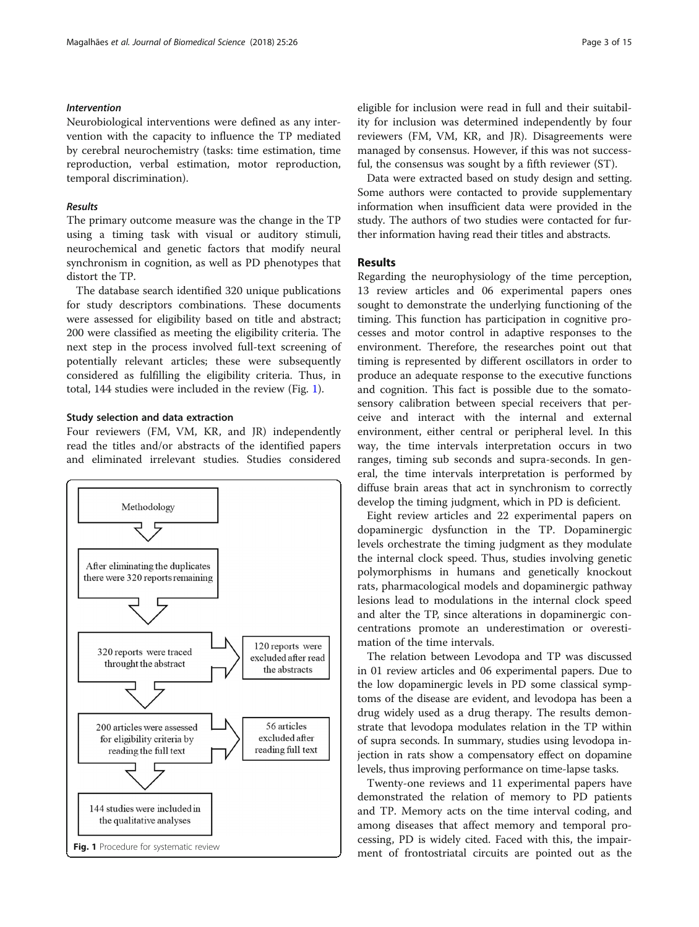#### Intervention

Neurobiological interventions were defined as any intervention with the capacity to influence the TP mediated by cerebral neurochemistry (tasks: time estimation, time reproduction, verbal estimation, motor reproduction, temporal discrimination).

#### Results

The primary outcome measure was the change in the TP using a timing task with visual or auditory stimuli, neurochemical and genetic factors that modify neural synchronism in cognition, as well as PD phenotypes that distort the TP.

The database search identified 320 unique publications for study descriptors combinations. These documents were assessed for eligibility based on title and abstract; 200 were classified as meeting the eligibility criteria. The next step in the process involved full-text screening of potentially relevant articles; these were subsequently considered as fulfilling the eligibility criteria. Thus, in total, 144 studies were included in the review (Fig. 1).

#### Study selection and data extraction

Four reviewers (FM, VM, KR, and JR) independently read the titles and/or abstracts of the identified papers and eliminated irrelevant studies. Studies considered



eligible for inclusion were read in full and their suitability for inclusion was determined independently by four reviewers (FM, VM, KR, and JR). Disagreements were managed by consensus. However, if this was not successful, the consensus was sought by a fifth reviewer (ST).

Data were extracted based on study design and setting. Some authors were contacted to provide supplementary information when insufficient data were provided in the study. The authors of two studies were contacted for further information having read their titles and abstracts.

#### Results

Regarding the neurophysiology of the time perception, 13 review articles and 06 experimental papers ones sought to demonstrate the underlying functioning of the timing. This function has participation in cognitive processes and motor control in adaptive responses to the environment. Therefore, the researches point out that timing is represented by different oscillators in order to produce an adequate response to the executive functions and cognition. This fact is possible due to the somatosensory calibration between special receivers that perceive and interact with the internal and external environment, either central or peripheral level. In this way, the time intervals interpretation occurs in two ranges, timing sub seconds and supra-seconds. In general, the time intervals interpretation is performed by diffuse brain areas that act in synchronism to correctly develop the timing judgment, which in PD is deficient.

Eight review articles and 22 experimental papers on dopaminergic dysfunction in the TP. Dopaminergic levels orchestrate the timing judgment as they modulate the internal clock speed. Thus, studies involving genetic polymorphisms in humans and genetically knockout rats, pharmacological models and dopaminergic pathway lesions lead to modulations in the internal clock speed and alter the TP, since alterations in dopaminergic concentrations promote an underestimation or overestimation of the time intervals.

The relation between Levodopa and TP was discussed in 01 review articles and 06 experimental papers. Due to the low dopaminergic levels in PD some classical symptoms of the disease are evident, and levodopa has been a drug widely used as a drug therapy. The results demonstrate that levodopa modulates relation in the TP within of supra seconds. In summary, studies using levodopa injection in rats show a compensatory effect on dopamine levels, thus improving performance on time-lapse tasks.

Twenty-one reviews and 11 experimental papers have demonstrated the relation of memory to PD patients and TP. Memory acts on the time interval coding, and among diseases that affect memory and temporal processing, PD is widely cited. Faced with this, the impair-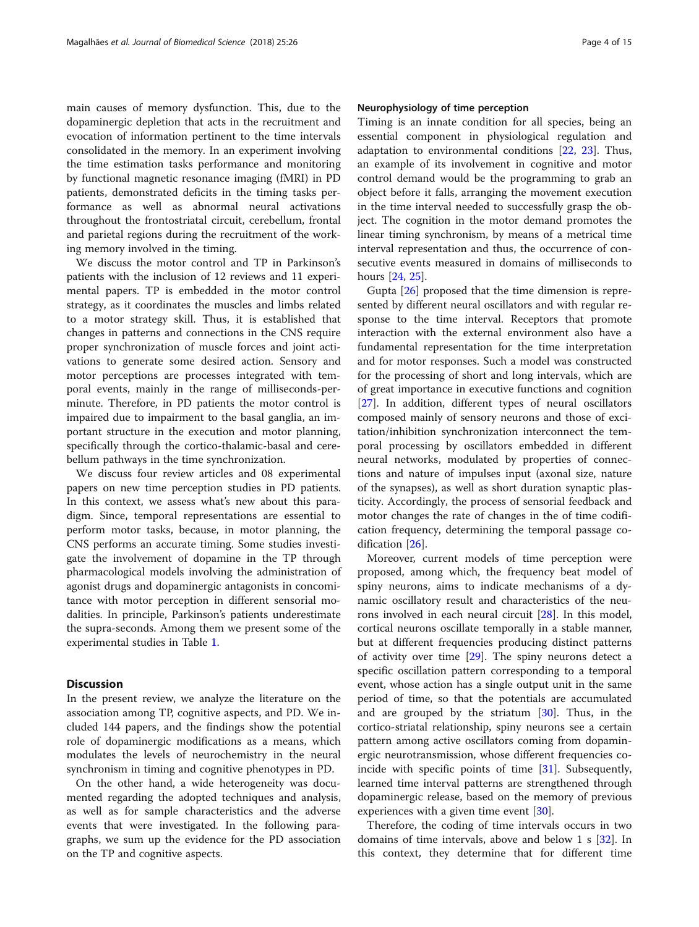main causes of memory dysfunction. This, due to the dopaminergic depletion that acts in the recruitment and evocation of information pertinent to the time intervals consolidated in the memory. In an experiment involving the time estimation tasks performance and monitoring by functional magnetic resonance imaging (fMRI) in PD patients, demonstrated deficits in the timing tasks performance as well as abnormal neural activations throughout the frontostriatal circuit, cerebellum, frontal and parietal regions during the recruitment of the working memory involved in the timing.

We discuss the motor control and TP in Parkinson's patients with the inclusion of 12 reviews and 11 experimental papers. TP is embedded in the motor control strategy, as it coordinates the muscles and limbs related to a motor strategy skill. Thus, it is established that changes in patterns and connections in the CNS require proper synchronization of muscle forces and joint activations to generate some desired action. Sensory and motor perceptions are processes integrated with temporal events, mainly in the range of milliseconds-perminute. Therefore, in PD patients the motor control is impaired due to impairment to the basal ganglia, an important structure in the execution and motor planning, specifically through the cortico-thalamic-basal and cerebellum pathways in the time synchronization.

We discuss four review articles and 08 experimental papers on new time perception studies in PD patients. In this context, we assess what's new about this paradigm. Since, temporal representations are essential to perform motor tasks, because, in motor planning, the CNS performs an accurate timing. Some studies investigate the involvement of dopamine in the TP through pharmacological models involving the administration of agonist drugs and dopaminergic antagonists in concomitance with motor perception in different sensorial modalities. In principle, Parkinson's patients underestimate the supra-seconds. Among them we present some of the experimental studies in Table [1.](#page-4-0)

#### **Discussion**

In the present review, we analyze the literature on the association among TP, cognitive aspects, and PD. We included 144 papers, and the findings show the potential role of dopaminergic modifications as a means, which modulates the levels of neurochemistry in the neural synchronism in timing and cognitive phenotypes in PD.

On the other hand, a wide heterogeneity was documented regarding the adopted techniques and analysis, as well as for sample characteristics and the adverse events that were investigated. In the following paragraphs, we sum up the evidence for the PD association on the TP and cognitive aspects.

#### Neurophysiology of time perception

Timing is an innate condition for all species, being an essential component in physiological regulation and adaptation to environmental conditions [\[22](#page-11-0), [23\]](#page-11-0). Thus, an example of its involvement in cognitive and motor control demand would be the programming to grab an object before it falls, arranging the movement execution in the time interval needed to successfully grasp the object. The cognition in the motor demand promotes the linear timing synchronism, by means of a metrical time interval representation and thus, the occurrence of consecutive events measured in domains of milliseconds to hours [\[24,](#page-11-0) [25\]](#page-11-0).

Gupta [\[26](#page-12-0)] proposed that the time dimension is represented by different neural oscillators and with regular response to the time interval. Receptors that promote interaction with the external environment also have a fundamental representation for the time interpretation and for motor responses. Such a model was constructed for the processing of short and long intervals, which are of great importance in executive functions and cognition [[27\]](#page-12-0). In addition, different types of neural oscillators composed mainly of sensory neurons and those of excitation/inhibition synchronization interconnect the temporal processing by oscillators embedded in different neural networks, modulated by properties of connections and nature of impulses input (axonal size, nature of the synapses), as well as short duration synaptic plasticity. Accordingly, the process of sensorial feedback and motor changes the rate of changes in the of time codification frequency, determining the temporal passage codification [\[26\]](#page-12-0).

Moreover, current models of time perception were proposed, among which, the frequency beat model of spiny neurons, aims to indicate mechanisms of a dynamic oscillatory result and characteristics of the neurons involved in each neural circuit [\[28\]](#page-12-0). In this model, cortical neurons oscillate temporally in a stable manner, but at different frequencies producing distinct patterns of activity over time [[29\]](#page-12-0). The spiny neurons detect a specific oscillation pattern corresponding to a temporal event, whose action has a single output unit in the same period of time, so that the potentials are accumulated and are grouped by the striatum  $[30]$  $[30]$ . Thus, in the cortico-striatal relationship, spiny neurons see a certain pattern among active oscillators coming from dopaminergic neurotransmission, whose different frequencies coincide with specific points of time [\[31](#page-12-0)]. Subsequently, learned time interval patterns are strengthened through dopaminergic release, based on the memory of previous experiences with a given time event [\[30](#page-12-0)].

Therefore, the coding of time intervals occurs in two domains of time intervals, above and below 1 s [\[32\]](#page-12-0). In this context, they determine that for different time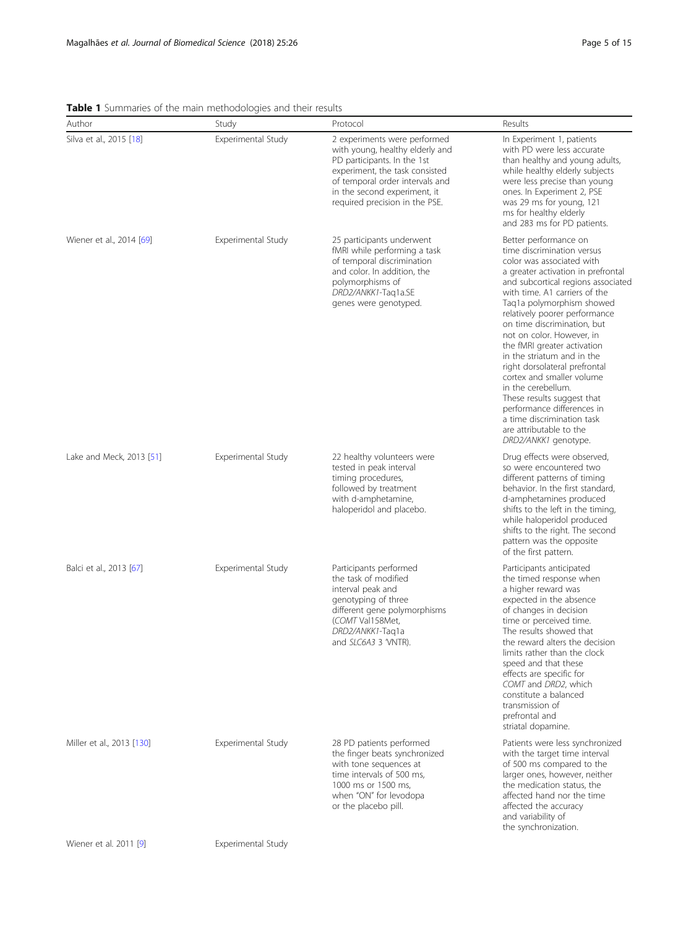<span id="page-4-0"></span>

| Table 1 Summaries of the main methodologies and their results |
|---------------------------------------------------------------|
|                                                               |

| Author                    | Study                     | Protocol                                                                                                                                                                                                                              | Results                                                                                                                                                                                                                                                                                                                                                                                                                                                                                                                                                                                                               |
|---------------------------|---------------------------|---------------------------------------------------------------------------------------------------------------------------------------------------------------------------------------------------------------------------------------|-----------------------------------------------------------------------------------------------------------------------------------------------------------------------------------------------------------------------------------------------------------------------------------------------------------------------------------------------------------------------------------------------------------------------------------------------------------------------------------------------------------------------------------------------------------------------------------------------------------------------|
| Silva et al., 2015 [18]   | Experimental Study        | 2 experiments were performed<br>with young, healthy elderly and<br>PD participants. In the 1st<br>experiment, the task consisted<br>of temporal order intervals and<br>in the second experiment, it<br>required precision in the PSE. | In Experiment 1, patients<br>with PD were less accurate<br>than healthy and young adults,<br>while healthy elderly subjects<br>were less precise than young<br>ones. In Experiment 2, PSE<br>was 29 ms for young, 121<br>ms for healthy elderly<br>and 283 ms for PD patients.                                                                                                                                                                                                                                                                                                                                        |
| Wiener et al., 2014 [69]  | Experimental Study        | 25 participants underwent<br>fMRI while performing a task<br>of temporal discrimination<br>and color. In addition, the<br>polymorphisms of<br>DRD2/ANKK1-Taq1a.SE<br>genes were genotyped.                                            | Better performance on<br>time discrimination versus<br>color was associated with<br>a greater activation in prefrontal<br>and subcortical regions associated<br>with time. A1 carriers of the<br>Tag1a polymorphism showed<br>relatively poorer performance<br>on time discrimination, but<br>not on color. However, in<br>the fMRI greater activation<br>in the striatum and in the<br>right dorsolateral prefrontal<br>cortex and smaller volume<br>in the cerebellum.<br>These results suggest that<br>performance differences in<br>a time discrimination task<br>are attributable to the<br>DRD2/ANKK1 genotype. |
| Lake and Meck, 2013 [51]  | <b>Experimental Study</b> | 22 healthy volunteers were<br>tested in peak interval<br>timing procedures,<br>followed by treatment<br>with d-amphetamine,<br>haloperidol and placebo.                                                                               | Drug effects were observed,<br>so were encountered two<br>different patterns of timing<br>behavior. In the first standard,<br>d-amphetamines produced<br>shifts to the left in the timing,<br>while haloperidol produced<br>shifts to the right. The second<br>pattern was the opposite<br>of the first pattern.                                                                                                                                                                                                                                                                                                      |
| Balci et al., 2013 [67]   | Experimental Study        | Participants performed<br>the task of modified<br>interval peak and<br>genotyping of three<br>different gene polymorphisms<br>(COMT Val158Met,<br>DRD2/ANKK1-Tag1a<br>and SLC6A3 3 'VNTR).                                            | Participants anticipated<br>the timed response when<br>a higher reward was<br>expected in the absence<br>of changes in decision<br>time or perceived time.<br>The results showed that<br>the reward alters the decision<br>limits rather than the clock<br>speed and that these<br>effects are specific for<br>COMT and DRD2, which<br>constitute a balanced<br>transmission of<br>prefrontal and<br>striatal dopamine.                                                                                                                                                                                               |
| Miller et al., 2013 [130] | Experimental Study        | 28 PD patients performed<br>the finger beats synchronized<br>with tone sequences at<br>time intervals of 500 ms.<br>1000 ms or 1500 ms,<br>when "ON" for levodopa<br>or the placebo pill.                                             | Patients were less synchronized<br>with the target time interval<br>of 500 ms compared to the<br>larger ones, however, neither<br>the medication status, the<br>affected hand nor the time<br>affected the accuracy<br>and variability of<br>the synchronization.                                                                                                                                                                                                                                                                                                                                                     |
| Wiener et al. 2011 [9]    | Experimental Study        |                                                                                                                                                                                                                                       |                                                                                                                                                                                                                                                                                                                                                                                                                                                                                                                                                                                                                       |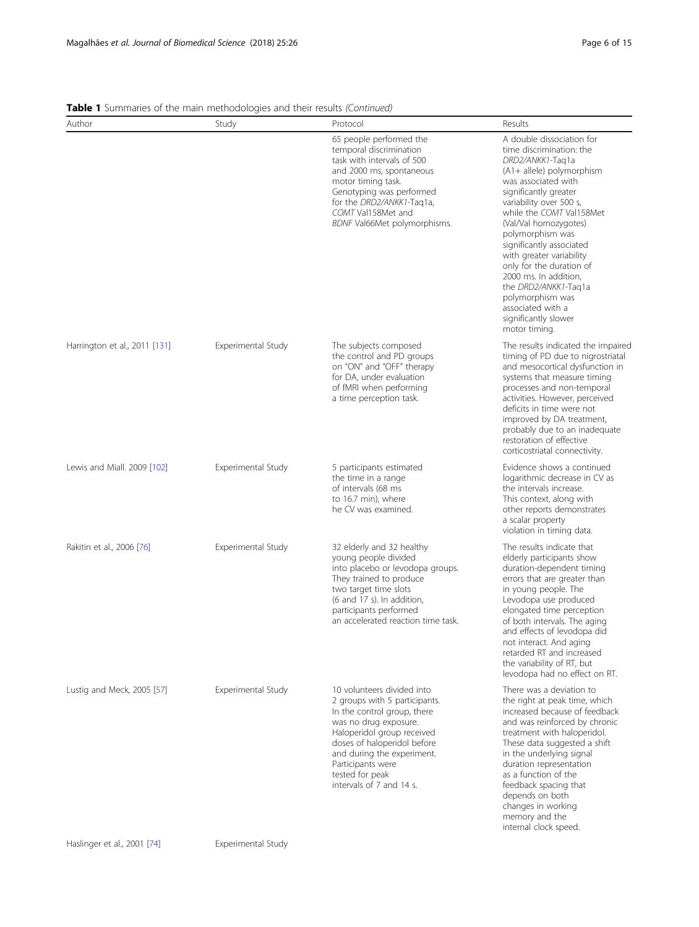Table 1 Summaries of the main methodologies and their results (Continued)

| Author                        | Study              | Protocol                                                                                                                                                                                                                                                                           | Results                                                                                                                                                                                                                                                                                                                                                                                                                                                                           |
|-------------------------------|--------------------|------------------------------------------------------------------------------------------------------------------------------------------------------------------------------------------------------------------------------------------------------------------------------------|-----------------------------------------------------------------------------------------------------------------------------------------------------------------------------------------------------------------------------------------------------------------------------------------------------------------------------------------------------------------------------------------------------------------------------------------------------------------------------------|
|                               |                    | 65 people performed the<br>temporal discrimination<br>task with intervals of 500<br>and 2000 ms, spontaneous<br>motor timing task.<br>Genotyping was performed<br>for the DRD2/ANKK1-Taq1a,<br>COMT Val158Met and<br>BDNF Val66Met polymorphisms.                                  | A double dissociation for<br>time discrimination: the<br>DRD2/ANKK1-Taq1a<br>(A1+ allele) polymorphism<br>was associated with<br>significantly greater<br>variability over 500 s,<br>while the COMT Val158Met<br>(Val/Val homozygotes)<br>polymorphism was<br>significantly associated<br>with greater variability<br>only for the duration of<br>2000 ms. In addition,<br>the DRD2/ANKK1-Tag1a<br>polymorphism was<br>associated with a<br>significantly slower<br>motor timing. |
| Harrington et al., 2011 [131] | Experimental Study | The subjects composed<br>the control and PD groups<br>on "ON" and "OFF" therapy<br>for DA, under evaluation<br>of fMRI when performing<br>a time perception task.                                                                                                                  | The results indicated the impaired<br>timing of PD due to nigrostriatal<br>and mesocortical dysfunction in<br>systems that measure timing<br>processes and non-temporal<br>activities. However, perceived<br>deficits in time were not<br>improved by DA treatment,<br>probably due to an inadequate<br>restoration of effective<br>corticostriatal connectivity.                                                                                                                 |
| Lewis and Miall. 2009 [102]   | Experimental Study | 5 participants estimated<br>the time in a range<br>of intervals (68 ms<br>to 16.7 min), where<br>he CV was examined.                                                                                                                                                               | Evidence shows a continued<br>logarithmic decrease in CV as<br>the intervals increase.<br>This context, along with<br>other reports demonstrates<br>a scalar property<br>violation in timing data.                                                                                                                                                                                                                                                                                |
| Rakitin et al., 2006 [76]     | Experimental Study | 32 elderly and 32 healthy<br>young people divided<br>into placebo or levodopa groups.<br>They trained to produce<br>two target time slots<br>(6 and 17 s). In addition,<br>participants performed<br>an accelerated reaction time task.                                            | The results indicate that<br>elderly participants show<br>duration-dependent timing<br>errors that are greater than<br>in young people. The<br>Levodopa use produced<br>elongated time perception<br>of both intervals. The aging<br>and effects of levodopa did<br>not interact. And aging<br>retarded RT and increased<br>the variability of RT, but<br>levodopa had no effect on RT.                                                                                           |
| Lustig and Meck, 2005 [57]    | Experimental Study | 10 volunteers divided into<br>2 groups with 5 participants.<br>In the control group, there<br>was no drug exposure.<br>Haloperidol group received<br>doses of haloperidol before<br>and during the experiment.<br>Participants were<br>tested for peak<br>intervals of 7 and 14 s. | There was a deviation to<br>the right at peak time, which<br>increased because of feedback<br>and was reinforced by chronic<br>treatment with haloperidol.<br>These data suggested a shift<br>in the underlying signal<br>duration representation<br>as a function of the<br>feedback spacing that<br>depends on both<br>changes in working<br>memory and the<br>internal clock speed.                                                                                            |

Haslinger et al., 2001 [\[74\]](#page-12-0) Experimental Study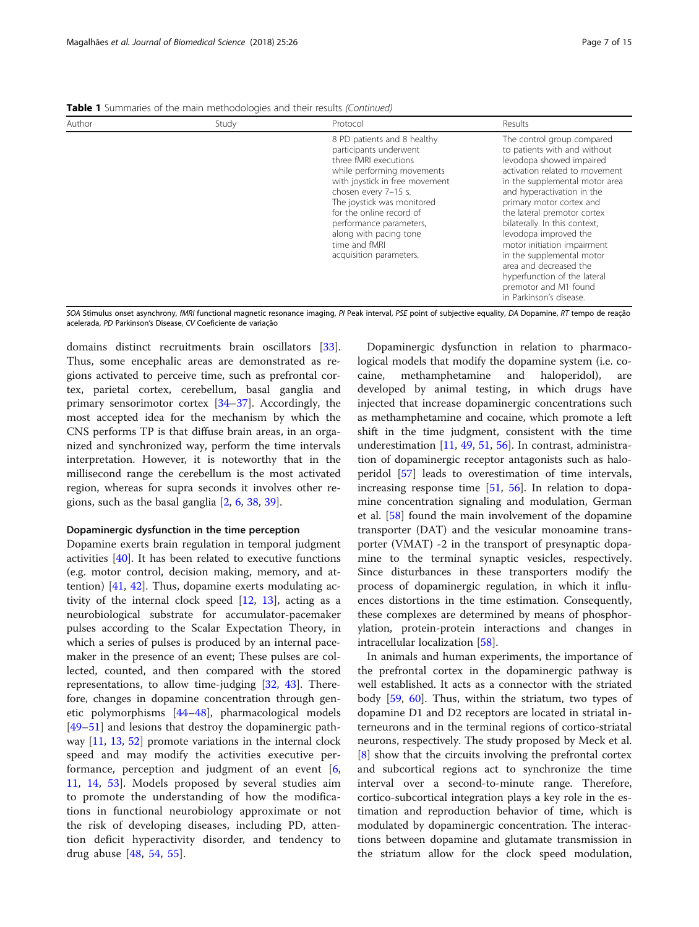Table 1 Summaries of the main methodologies and their results (Continued)

| Author | Study | Protocol                                                                                                                                                                                                                                                                                                                          | Results                                                                                                                                                                                                                                                                                                                                                                                                                                                                                 |
|--------|-------|-----------------------------------------------------------------------------------------------------------------------------------------------------------------------------------------------------------------------------------------------------------------------------------------------------------------------------------|-----------------------------------------------------------------------------------------------------------------------------------------------------------------------------------------------------------------------------------------------------------------------------------------------------------------------------------------------------------------------------------------------------------------------------------------------------------------------------------------|
|        |       | 8 PD patients and 8 healthy<br>participants underwent<br>three fMRI executions<br>while performing movements<br>with joystick in free movement<br>chosen every 7-15 s.<br>The joystick was monitored<br>for the online record of<br>performance parameters,<br>along with pacing tone<br>time and fMRI<br>acquisition parameters. | The control group compared<br>to patients with and without<br>levodopa showed impaired<br>activation related to movement<br>in the supplemental motor area<br>and hyperactivation in the<br>primary motor cortex and<br>the lateral premotor cortex<br>bilaterally. In this context,<br>levodopa improved the<br>motor initiation impairment<br>in the supplemental motor<br>area and decreased the<br>hyperfunction of the lateral<br>premotor and M1 found<br>in Parkinson's disease. |

SOA Stimulus onset asynchrony, fMRI functional magnetic resonance imaging, PI Peak interval, PSE point of subjective equality, DA Dopamine, RT tempo de reação acelerada, PD Parkinson's Disease, CV Coeficiente de variação

domains distinct recruitments brain oscillators [\[33](#page-12-0)]. Thus, some encephalic areas are demonstrated as regions activated to perceive time, such as prefrontal cortex, parietal cortex, cerebellum, basal ganglia and primary sensorimotor cortex [[34](#page-12-0)–[37](#page-12-0)]. Accordingly, the most accepted idea for the mechanism by which the CNS performs TP is that diffuse brain areas, in an organized and synchronized way, perform the time intervals interpretation. However, it is noteworthy that in the millisecond range the cerebellum is the most activated region, whereas for supra seconds it involves other regions, such as the basal ganglia [\[2](#page-11-0), [6](#page-11-0), [38](#page-12-0), [39](#page-12-0)].

#### Dopaminergic dysfunction in the time perception

Dopamine exerts brain regulation in temporal judgment activities [[40\]](#page-12-0). It has been related to executive functions (e.g. motor control, decision making, memory, and attention) [[41,](#page-12-0) [42\]](#page-12-0). Thus, dopamine exerts modulating activity of the internal clock speed [[12](#page-11-0), [13](#page-11-0)], acting as a neurobiological substrate for accumulator-pacemaker pulses according to the Scalar Expectation Theory, in which a series of pulses is produced by an internal pacemaker in the presence of an event; These pulses are collected, counted, and then compared with the stored representations, to allow time-judging [\[32,](#page-12-0) [43\]](#page-12-0). Therefore, changes in dopamine concentration through genetic polymorphisms [\[44](#page-12-0)–[48](#page-12-0)], pharmacological models [[49](#page-12-0)–[51](#page-12-0)] and lesions that destroy the dopaminergic pathway [[11,](#page-11-0) [13,](#page-11-0) [52](#page-12-0)] promote variations in the internal clock speed and may modify the activities executive performance, perception and judgment of an event [\[6](#page-11-0), [11,](#page-11-0) [14](#page-11-0), [53\]](#page-12-0). Models proposed by several studies aim to promote the understanding of how the modifications in functional neurobiology approximate or not the risk of developing diseases, including PD, attention deficit hyperactivity disorder, and tendency to drug abuse [[48,](#page-12-0) [54,](#page-12-0) [55\]](#page-12-0).

Dopaminergic dysfunction in relation to pharmacological models that modify the dopamine system (i.e. cocaine, methamphetamine and haloperidol), are developed by animal testing, in which drugs have injected that increase dopaminergic concentrations such as methamphetamine and cocaine, which promote a left shift in the time judgment, consistent with the time underestimation [[11,](#page-11-0) [49,](#page-12-0) [51,](#page-12-0) [56\]](#page-12-0). In contrast, administration of dopaminergic receptor antagonists such as haloperidol [[57\]](#page-12-0) leads to overestimation of time intervals, increasing response time [\[51,](#page-12-0) [56](#page-12-0)]. In relation to dopamine concentration signaling and modulation, German et al. [[58\]](#page-12-0) found the main involvement of the dopamine transporter (DAT) and the vesicular monoamine transporter (VMAT) -2 in the transport of presynaptic dopamine to the terminal synaptic vesicles, respectively. Since disturbances in these transporters modify the process of dopaminergic regulation, in which it influences distortions in the time estimation. Consequently, these complexes are determined by means of phosphorylation, protein-protein interactions and changes in intracellular localization [\[58](#page-12-0)].

In animals and human experiments, the importance of the prefrontal cortex in the dopaminergic pathway is well established. It acts as a connector with the striated body [\[59](#page-12-0), [60\]](#page-12-0). Thus, within the striatum, two types of dopamine D1 and D2 receptors are located in striatal interneurons and in the terminal regions of cortico-striatal neurons, respectively. The study proposed by Meck et al. [[8\]](#page-11-0) show that the circuits involving the prefrontal cortex and subcortical regions act to synchronize the time interval over a second-to-minute range. Therefore, cortico-subcortical integration plays a key role in the estimation and reproduction behavior of time, which is modulated by dopaminergic concentration. The interactions between dopamine and glutamate transmission in the striatum allow for the clock speed modulation,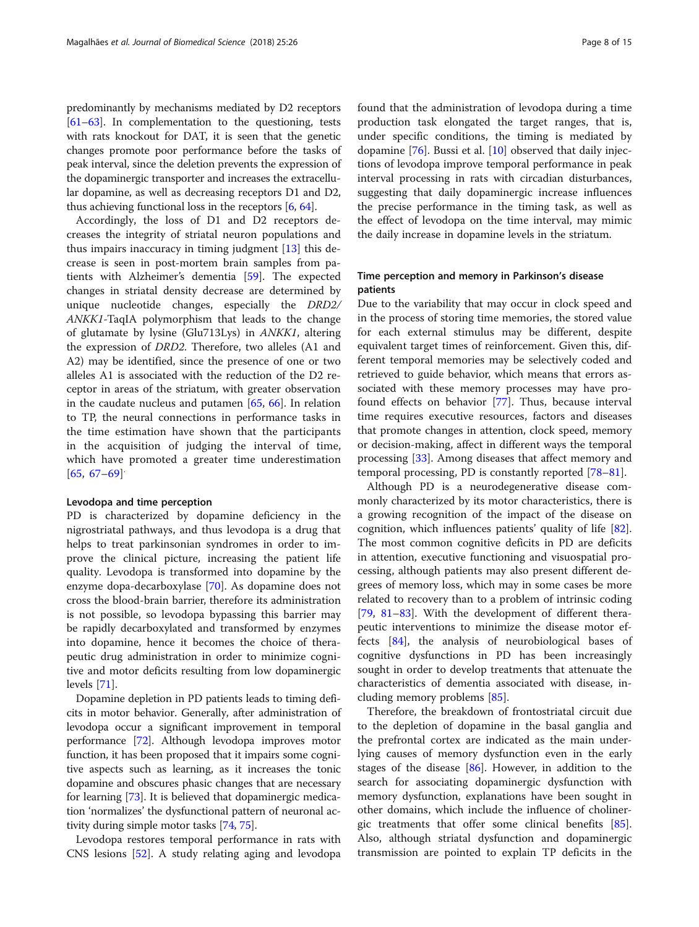predominantly by mechanisms mediated by D2 receptors [[61](#page-12-0)–[63\]](#page-12-0). In complementation to the questioning, tests with rats knockout for DAT, it is seen that the genetic changes promote poor performance before the tasks of peak interval, since the deletion prevents the expression of the dopaminergic transporter and increases the extracellular dopamine, as well as decreasing receptors D1 and D2, thus achieving functional loss in the receptors [[6,](#page-11-0) [64](#page-12-0)].

Accordingly, the loss of D1 and D2 receptors decreases the integrity of striatal neuron populations and thus impairs inaccuracy in timing judgment [\[13](#page-11-0)] this decrease is seen in post-mortem brain samples from patients with Alzheimer's dementia [[59](#page-12-0)]. The expected changes in striatal density decrease are determined by unique nucleotide changes, especially the DRD2/ ANKK1-TaqIA polymorphism that leads to the change of glutamate by lysine (Glu713Lys) in ANKK1, altering the expression of DRD2. Therefore, two alleles (A1 and A2) may be identified, since the presence of one or two alleles A1 is associated with the reduction of the D2 receptor in areas of the striatum, with greater observation in the caudate nucleus and putamen [[65,](#page-12-0) [66\]](#page-12-0). In relation to TP, the neural connections in performance tasks in the time estimation have shown that the participants in the acquisition of judging the interval of time, which have promoted a greater time underestimation  $[65, 67-69]$  $[65, 67-69]$  $[65, 67-69]$  $[65, 67-69]$  $[65, 67-69]$  $[65, 67-69]$  $[65, 67-69]$ 

#### Levodopa and time perception

PD is characterized by dopamine deficiency in the nigrostriatal pathways, and thus levodopa is a drug that helps to treat parkinsonian syndromes in order to improve the clinical picture, increasing the patient life quality. Levodopa is transformed into dopamine by the enzyme dopa-decarboxylase [\[70\]](#page-12-0). As dopamine does not cross the blood-brain barrier, therefore its administration is not possible, so levodopa bypassing this barrier may be rapidly decarboxylated and transformed by enzymes into dopamine, hence it becomes the choice of therapeutic drug administration in order to minimize cognitive and motor deficits resulting from low dopaminergic levels [\[71\]](#page-12-0).

Dopamine depletion in PD patients leads to timing deficits in motor behavior. Generally, after administration of levodopa occur a significant improvement in temporal performance [[72](#page-12-0)]. Although levodopa improves motor function, it has been proposed that it impairs some cognitive aspects such as learning, as it increases the tonic dopamine and obscures phasic changes that are necessary for learning [[73](#page-12-0)]. It is believed that dopaminergic medication 'normalizes' the dysfunctional pattern of neuronal activity during simple motor tasks [\[74,](#page-12-0) [75\]](#page-13-0).

Levodopa restores temporal performance in rats with CNS lesions [[52](#page-12-0)]. A study relating aging and levodopa found that the administration of levodopa during a time production task elongated the target ranges, that is, under specific conditions, the timing is mediated by dopamine  $[76]$  $[76]$ . Bussi et al.  $[10]$  $[10]$  observed that daily injections of levodopa improve temporal performance in peak interval processing in rats with circadian disturbances, suggesting that daily dopaminergic increase influences the precise performance in the timing task, as well as the effect of levodopa on the time interval, may mimic the daily increase in dopamine levels in the striatum.

#### Time perception and memory in Parkinson's disease patients

Due to the variability that may occur in clock speed and in the process of storing time memories, the stored value for each external stimulus may be different, despite equivalent target times of reinforcement. Given this, different temporal memories may be selectively coded and retrieved to guide behavior, which means that errors associated with these memory processes may have profound effects on behavior [[77\]](#page-13-0). Thus, because interval time requires executive resources, factors and diseases that promote changes in attention, clock speed, memory or decision-making, affect in different ways the temporal processing [\[33\]](#page-12-0). Among diseases that affect memory and temporal processing, PD is constantly reported [\[78](#page-13-0)–[81\]](#page-13-0).

Although PD is a neurodegenerative disease commonly characterized by its motor characteristics, there is a growing recognition of the impact of the disease on cognition, which influences patients' quality of life [\[82](#page-13-0)]. The most common cognitive deficits in PD are deficits in attention, executive functioning and visuospatial processing, although patients may also present different degrees of memory loss, which may in some cases be more related to recovery than to a problem of intrinsic coding [[79,](#page-13-0) [81](#page-13-0)–[83](#page-13-0)]. With the development of different therapeutic interventions to minimize the disease motor effects [\[84\]](#page-13-0), the analysis of neurobiological bases of cognitive dysfunctions in PD has been increasingly sought in order to develop treatments that attenuate the characteristics of dementia associated with disease, including memory problems [[85\]](#page-13-0).

Therefore, the breakdown of frontostriatal circuit due to the depletion of dopamine in the basal ganglia and the prefrontal cortex are indicated as the main underlying causes of memory dysfunction even in the early stages of the disease [[86\]](#page-13-0). However, in addition to the search for associating dopaminergic dysfunction with memory dysfunction, explanations have been sought in other domains, which include the influence of cholinergic treatments that offer some clinical benefits [\[85](#page-13-0)]. Also, although striatal dysfunction and dopaminergic transmission are pointed to explain TP deficits in the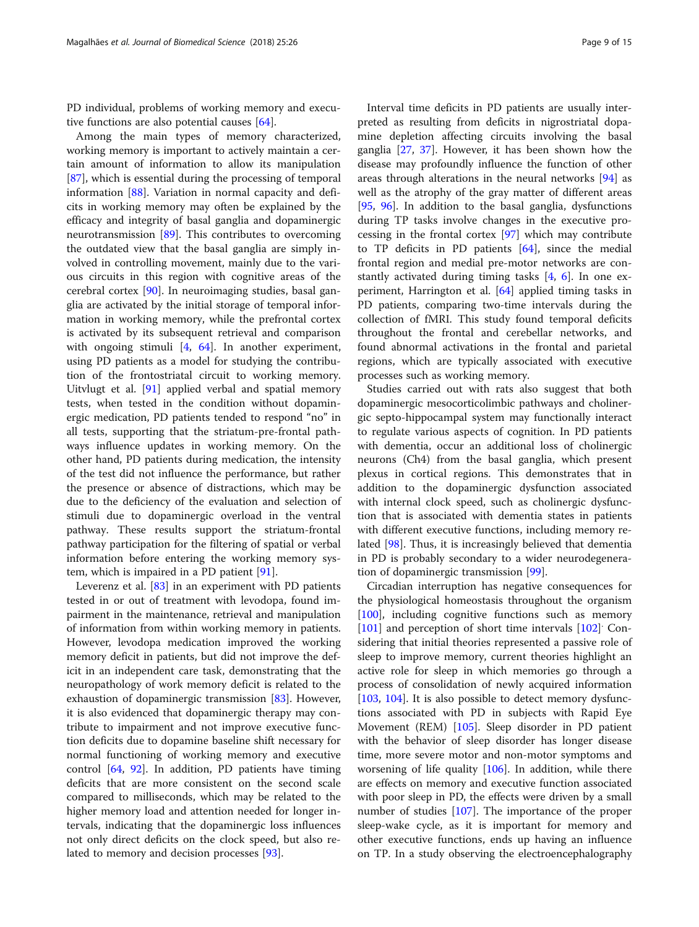PD individual, problems of working memory and executive functions are also potential causes [[64](#page-12-0)].

Among the main types of memory characterized, working memory is important to actively maintain a certain amount of information to allow its manipulation [[87\]](#page-13-0), which is essential during the processing of temporal information [\[88\]](#page-13-0). Variation in normal capacity and deficits in working memory may often be explained by the efficacy and integrity of basal ganglia and dopaminergic neurotransmission [\[89](#page-13-0)]. This contributes to overcoming the outdated view that the basal ganglia are simply involved in controlling movement, mainly due to the various circuits in this region with cognitive areas of the cerebral cortex [[90](#page-13-0)]. In neuroimaging studies, basal ganglia are activated by the initial storage of temporal information in working memory, while the prefrontal cortex is activated by its subsequent retrieval and comparison with ongoing stimuli [\[4](#page-11-0), [64](#page-12-0)]. In another experiment, using PD patients as a model for studying the contribution of the frontostriatal circuit to working memory. Uitvlugt et al. [\[91\]](#page-13-0) applied verbal and spatial memory tests, when tested in the condition without dopaminergic medication, PD patients tended to respond "no" in all tests, supporting that the striatum-pre-frontal pathways influence updates in working memory. On the other hand, PD patients during medication, the intensity of the test did not influence the performance, but rather the presence or absence of distractions, which may be due to the deficiency of the evaluation and selection of stimuli due to dopaminergic overload in the ventral pathway. These results support the striatum-frontal pathway participation for the filtering of spatial or verbal information before entering the working memory system, which is impaired in a PD patient [[91](#page-13-0)].

Leverenz et al. [\[83\]](#page-13-0) in an experiment with PD patients tested in or out of treatment with levodopa, found impairment in the maintenance, retrieval and manipulation of information from within working memory in patients. However, levodopa medication improved the working memory deficit in patients, but did not improve the deficit in an independent care task, demonstrating that the neuropathology of work memory deficit is related to the exhaustion of dopaminergic transmission [[83\]](#page-13-0). However, it is also evidenced that dopaminergic therapy may contribute to impairment and not improve executive function deficits due to dopamine baseline shift necessary for normal functioning of working memory and executive control [\[64](#page-12-0), [92\]](#page-13-0). In addition, PD patients have timing deficits that are more consistent on the second scale compared to milliseconds, which may be related to the higher memory load and attention needed for longer intervals, indicating that the dopaminergic loss influences not only direct deficits on the clock speed, but also related to memory and decision processes [[93](#page-13-0)].

Interval time deficits in PD patients are usually interpreted as resulting from deficits in nigrostriatal dopamine depletion affecting circuits involving the basal ganglia [\[27](#page-12-0), [37\]](#page-12-0). However, it has been shown how the disease may profoundly influence the function of other areas through alterations in the neural networks [[94](#page-13-0)] as well as the atrophy of the gray matter of different areas [[95,](#page-13-0) [96](#page-13-0)]. In addition to the basal ganglia, dysfunctions during TP tasks involve changes in the executive processing in the frontal cortex [\[97\]](#page-13-0) which may contribute to TP deficits in PD patients [\[64](#page-12-0)], since the medial frontal region and medial pre-motor networks are constantly activated during timing tasks  $[4, 6]$  $[4, 6]$  $[4, 6]$  $[4, 6]$ . In one experiment, Harrington et al. [\[64](#page-12-0)] applied timing tasks in PD patients, comparing two-time intervals during the collection of fMRI. This study found temporal deficits throughout the frontal and cerebellar networks, and found abnormal activations in the frontal and parietal regions, which are typically associated with executive processes such as working memory.

Studies carried out with rats also suggest that both dopaminergic mesocorticolimbic pathways and cholinergic septo-hippocampal system may functionally interact to regulate various aspects of cognition. In PD patients with dementia, occur an additional loss of cholinergic neurons (Ch4) from the basal ganglia, which present plexus in cortical regions. This demonstrates that in addition to the dopaminergic dysfunction associated with internal clock speed, such as cholinergic dysfunction that is associated with dementia states in patients with different executive functions, including memory related [[98\]](#page-13-0). Thus, it is increasingly believed that dementia in PD is probably secondary to a wider neurodegeneration of dopaminergic transmission [[99](#page-13-0)].

Circadian interruption has negative consequences for the physiological homeostasis throughout the organism [[100\]](#page-13-0), including cognitive functions such as memory [[101\]](#page-13-0) and perception of short time intervals [[102](#page-13-0)] Considering that initial theories represented a passive role of sleep to improve memory, current theories highlight an active role for sleep in which memories go through a process of consolidation of newly acquired information [[103,](#page-13-0) [104\]](#page-13-0). It is also possible to detect memory dysfunctions associated with PD in subjects with Rapid Eye Movement (REM) [\[105](#page-13-0)]. Sleep disorder in PD patient with the behavior of sleep disorder has longer disease time, more severe motor and non-motor symptoms and worsening of life quality  $[106]$  $[106]$  $[106]$ . In addition, while there are effects on memory and executive function associated with poor sleep in PD, the effects were driven by a small number of studies [[107\]](#page-13-0). The importance of the proper sleep-wake cycle, as it is important for memory and other executive functions, ends up having an influence on TP. In a study observing the electroencephalography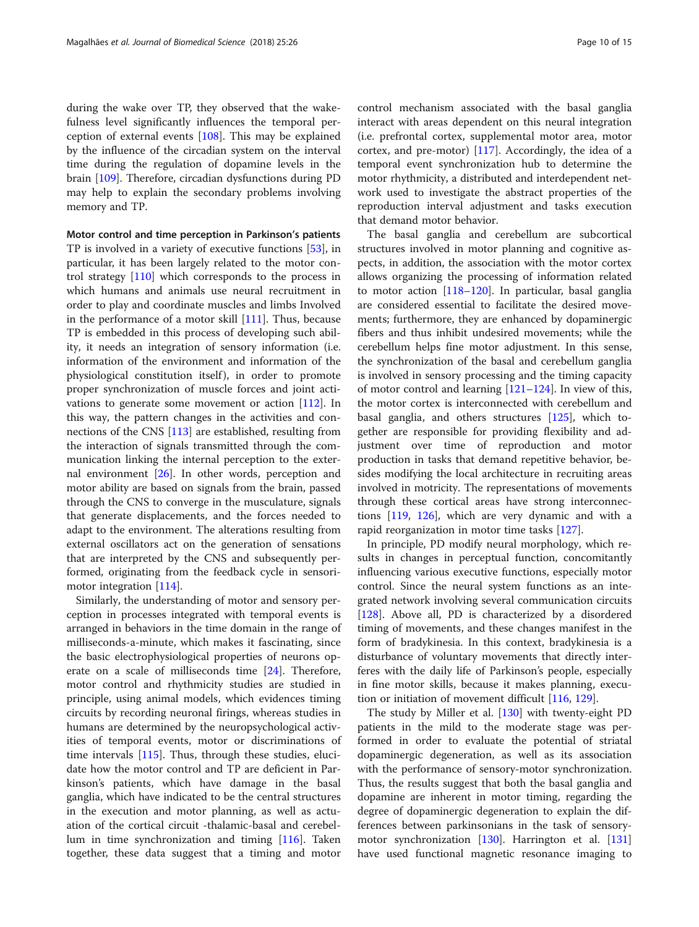during the wake over TP, they observed that the wakefulness level significantly influences the temporal perception of external events [[108\]](#page-13-0). This may be explained by the influence of the circadian system on the interval time during the regulation of dopamine levels in the brain [\[109\]](#page-13-0). Therefore, circadian dysfunctions during PD may help to explain the secondary problems involving memory and TP.

Motor control and time perception in Parkinson's patients TP is involved in a variety of executive functions [\[53](#page-12-0)], in particular, it has been largely related to the motor control strategy [\[110](#page-13-0)] which corresponds to the process in which humans and animals use neural recruitment in order to play and coordinate muscles and limbs Involved in the performance of a motor skill [[111\]](#page-13-0). Thus, because TP is embedded in this process of developing such ability, it needs an integration of sensory information (i.e. information of the environment and information of the physiological constitution itself), in order to promote proper synchronization of muscle forces and joint activations to generate some movement or action [[112\]](#page-13-0). In this way, the pattern changes in the activities and connections of the CNS [\[113\]](#page-13-0) are established, resulting from the interaction of signals transmitted through the communication linking the internal perception to the external environment [\[26](#page-12-0)]. In other words, perception and motor ability are based on signals from the brain, passed through the CNS to converge in the musculature, signals that generate displacements, and the forces needed to adapt to the environment. The alterations resulting from external oscillators act on the generation of sensations that are interpreted by the CNS and subsequently performed, originating from the feedback cycle in sensorimotor integration [[114](#page-13-0)].

Similarly, the understanding of motor and sensory perception in processes integrated with temporal events is arranged in behaviors in the time domain in the range of milliseconds-a-minute, which makes it fascinating, since the basic electrophysiological properties of neurons operate on a scale of milliseconds time [[24\]](#page-11-0). Therefore, motor control and rhythmicity studies are studied in principle, using animal models, which evidences timing circuits by recording neuronal firings, whereas studies in humans are determined by the neuropsychological activities of temporal events, motor or discriminations of time intervals [[115](#page-13-0)]. Thus, through these studies, elucidate how the motor control and TP are deficient in Parkinson's patients, which have damage in the basal ganglia, which have indicated to be the central structures in the execution and motor planning, as well as actuation of the cortical circuit -thalamic-basal and cerebellum in time synchronization and timing [\[116](#page-13-0)]. Taken together, these data suggest that a timing and motor

control mechanism associated with the basal ganglia interact with areas dependent on this neural integration (i.e. prefrontal cortex, supplemental motor area, motor cortex, and pre-motor) [[117\]](#page-13-0). Accordingly, the idea of a temporal event synchronization hub to determine the motor rhythmicity, a distributed and interdependent network used to investigate the abstract properties of the reproduction interval adjustment and tasks execution that demand motor behavior.

The basal ganglia and cerebellum are subcortical structures involved in motor planning and cognitive aspects, in addition, the association with the motor cortex allows organizing the processing of information related to motor action [[118](#page-13-0)–[120\]](#page-13-0). In particular, basal ganglia are considered essential to facilitate the desired movements; furthermore, they are enhanced by dopaminergic fibers and thus inhibit undesired movements; while the cerebellum helps fine motor adjustment. In this sense, the synchronization of the basal and cerebellum ganglia is involved in sensory processing and the timing capacity of motor control and learning  $[121-124]$  $[121-124]$  $[121-124]$  $[121-124]$  $[121-124]$ . In view of this, the motor cortex is interconnected with cerebellum and basal ganglia, and others structures [\[125](#page-13-0)], which together are responsible for providing flexibility and adjustment over time of reproduction and motor production in tasks that demand repetitive behavior, besides modifying the local architecture in recruiting areas involved in motricity. The representations of movements through these cortical areas have strong interconnections [\[119,](#page-13-0) [126](#page-13-0)], which are very dynamic and with a rapid reorganization in motor time tasks [\[127](#page-13-0)].

In principle, PD modify neural morphology, which results in changes in perceptual function, concomitantly influencing various executive functions, especially motor control. Since the neural system functions as an integrated network involving several communication circuits [[128\]](#page-13-0). Above all, PD is characterized by a disordered timing of movements, and these changes manifest in the form of bradykinesia. In this context, bradykinesia is a disturbance of voluntary movements that directly interferes with the daily life of Parkinson's people, especially in fine motor skills, because it makes planning, execution or initiation of movement difficult [\[116](#page-13-0), [129\]](#page-14-0).

The study by Miller et al. [[130](#page-14-0)] with twenty-eight PD patients in the mild to the moderate stage was performed in order to evaluate the potential of striatal dopaminergic degeneration, as well as its association with the performance of sensory-motor synchronization. Thus, the results suggest that both the basal ganglia and dopamine are inherent in motor timing, regarding the degree of dopaminergic degeneration to explain the differences between parkinsonians in the task of sensorymotor synchronization [[130](#page-14-0)]. Harrington et al. [[131](#page-14-0)] have used functional magnetic resonance imaging to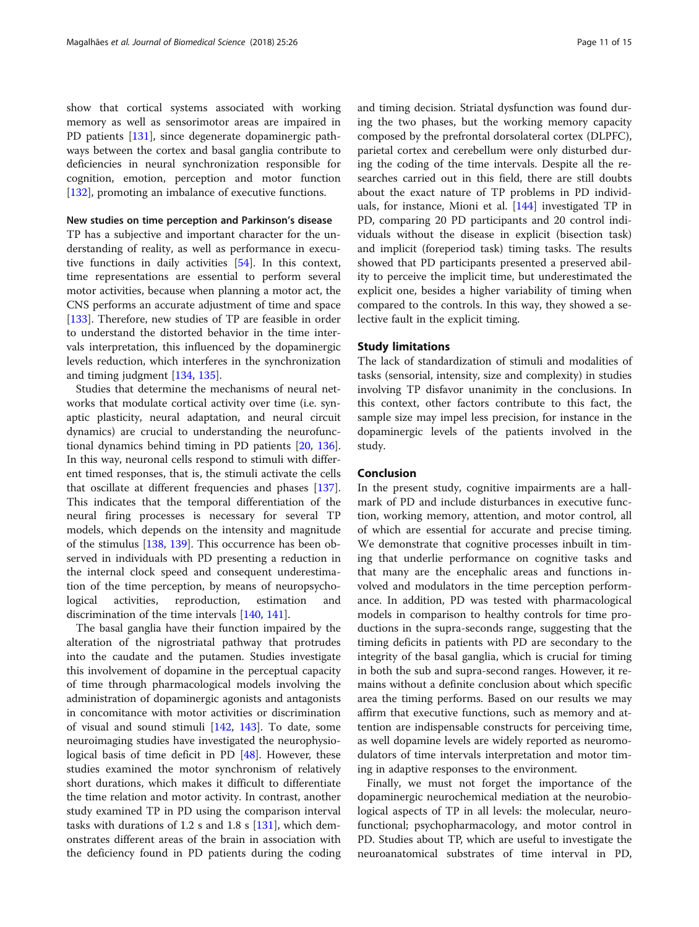show that cortical systems associated with working memory as well as sensorimotor areas are impaired in PD patients [[131](#page-14-0)], since degenerate dopaminergic pathways between the cortex and basal ganglia contribute to deficiencies in neural synchronization responsible for cognition, emotion, perception and motor function [[132\]](#page-14-0), promoting an imbalance of executive functions.

#### New studies on time perception and Parkinson's disease

TP has a subjective and important character for the understanding of reality, as well as performance in executive functions in daily activities [[54](#page-12-0)]. In this context, time representations are essential to perform several motor activities, because when planning a motor act, the CNS performs an accurate adjustment of time and space [[133\]](#page-14-0). Therefore, new studies of TP are feasible in order to understand the distorted behavior in the time intervals interpretation, this influenced by the dopaminergic levels reduction, which interferes in the synchronization and timing judgment [\[134](#page-14-0), [135\]](#page-14-0).

Studies that determine the mechanisms of neural networks that modulate cortical activity over time (i.e. synaptic plasticity, neural adaptation, and neural circuit dynamics) are crucial to understanding the neurofunctional dynamics behind timing in PD patients [[20,](#page-11-0) [136](#page-14-0)]. In this way, neuronal cells respond to stimuli with different timed responses, that is, the stimuli activate the cells that oscillate at different frequencies and phases [\[137](#page-14-0)]. This indicates that the temporal differentiation of the neural firing processes is necessary for several TP models, which depends on the intensity and magnitude of the stimulus [[138,](#page-14-0) [139\]](#page-14-0). This occurrence has been observed in individuals with PD presenting a reduction in the internal clock speed and consequent underestimation of the time perception, by means of neuropsychological activities, reproduction, estimation and discrimination of the time intervals [\[140](#page-14-0), [141](#page-14-0)].

The basal ganglia have their function impaired by the alteration of the nigrostriatal pathway that protrudes into the caudate and the putamen. Studies investigate this involvement of dopamine in the perceptual capacity of time through pharmacological models involving the administration of dopaminergic agonists and antagonists in concomitance with motor activities or discrimination of visual and sound stimuli [[142](#page-14-0), [143\]](#page-14-0). To date, some neuroimaging studies have investigated the neurophysiological basis of time deficit in PD [[48\]](#page-12-0). However, these studies examined the motor synchronism of relatively short durations, which makes it difficult to differentiate the time relation and motor activity. In contrast, another study examined TP in PD using the comparison interval tasks with durations of 1.2 s and 1.8 s [[131](#page-14-0)], which demonstrates different areas of the brain in association with the deficiency found in PD patients during the coding and timing decision. Striatal dysfunction was found during the two phases, but the working memory capacity composed by the prefrontal dorsolateral cortex (DLPFC), parietal cortex and cerebellum were only disturbed during the coding of the time intervals. Despite all the researches carried out in this field, there are still doubts about the exact nature of TP problems in PD individuals, for instance, Mioni et al. [[144\]](#page-14-0) investigated TP in PD, comparing 20 PD participants and 20 control individuals without the disease in explicit (bisection task) and implicit (foreperiod task) timing tasks. The results showed that PD participants presented a preserved ability to perceive the implicit time, but underestimated the explicit one, besides a higher variability of timing when compared to the controls. In this way, they showed a selective fault in the explicit timing.

#### Study limitations

The lack of standardization of stimuli and modalities of tasks (sensorial, intensity, size and complexity) in studies involving TP disfavor unanimity in the conclusions. In this context, other factors contribute to this fact, the sample size may impel less precision, for instance in the dopaminergic levels of the patients involved in the study.

#### Conclusion

In the present study, cognitive impairments are a hallmark of PD and include disturbances in executive function, working memory, attention, and motor control, all of which are essential for accurate and precise timing. We demonstrate that cognitive processes inbuilt in timing that underlie performance on cognitive tasks and that many are the encephalic areas and functions involved and modulators in the time perception performance. In addition, PD was tested with pharmacological models in comparison to healthy controls for time productions in the supra-seconds range, suggesting that the timing deficits in patients with PD are secondary to the integrity of the basal ganglia, which is crucial for timing in both the sub and supra-second ranges. However, it remains without a definite conclusion about which specific area the timing performs. Based on our results we may affirm that executive functions, such as memory and attention are indispensable constructs for perceiving time, as well dopamine levels are widely reported as neuromodulators of time intervals interpretation and motor timing in adaptive responses to the environment.

Finally, we must not forget the importance of the dopaminergic neurochemical mediation at the neurobiological aspects of TP in all levels: the molecular, neurofunctional; psychopharmacology, and motor control in PD. Studies about TP, which are useful to investigate the neuroanatomical substrates of time interval in PD,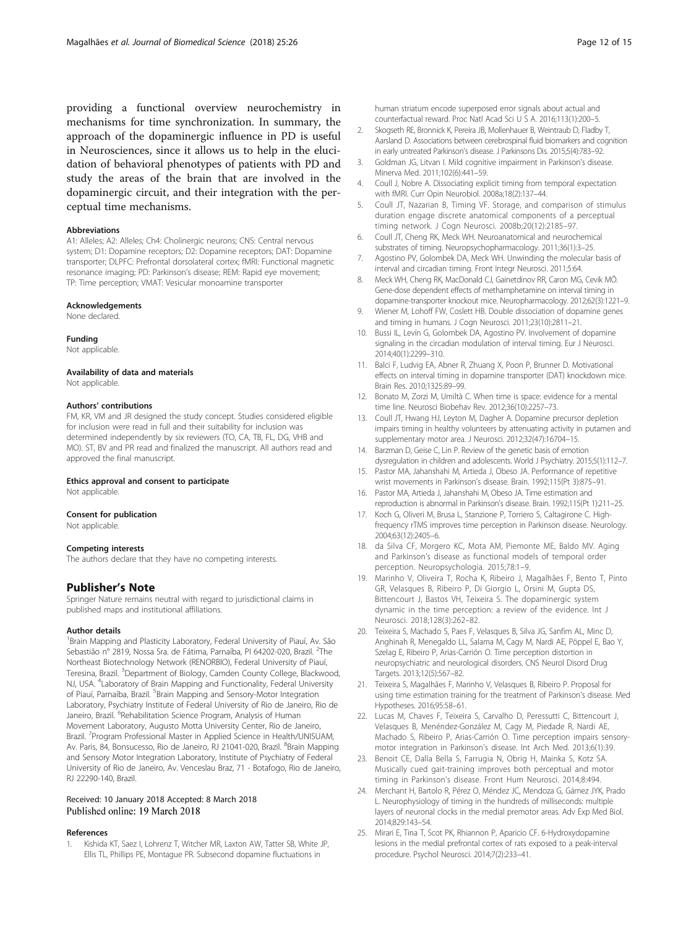<span id="page-11-0"></span>providing a functional overview neurochemistry in mechanisms for time synchronization. In summary, the approach of the dopaminergic influence in PD is useful in Neurosciences, since it allows us to help in the elucidation of behavioral phenotypes of patients with PD and study the areas of the brain that are involved in the dopaminergic circuit, and their integration with the perceptual time mechanisms.

#### **Abbreviations**

A1: Alleles; A2: Alleles; Ch4: Cholinergic neurons; CNS: Central nervous system; D1: Dopamine receptors; D2: Dopamine receptors; DAT: Dopamine transporter; DLPFC: Prefrontal dorsolateral cortex; fMRI: Functional magnetic resonance imaging; PD: Parkinson's disease; REM: Rapid eye movement; TP: Time perception; VMAT: Vesicular monoamine transporter

#### Acknowledgements

None declared.

#### Funding

Not applicable.

Availability of data and materials Not applicable

#### Authors' contributions

FM, KR, VM and JR designed the study concept. Studies considered eligible for inclusion were read in full and their suitability for inclusion was determined independently by six reviewers (TO, CA, TB, FL, DG, VHB and MO). ST, BV and PR read and finalized the manuscript. All authors read and approved the final manuscript.

#### Ethics approval and consent to participate

Not applicable.

#### Consent for publication

Not applicable.

#### Competing interests

The authors declare that they have no competing interests.

#### Publisher's Note

Springer Nature remains neutral with regard to jurisdictional claims in published maps and institutional affiliations.

#### Author details

<sup>1</sup> Brain Mapping and Plasticity Laboratory, Federal University of Piauí, Av. São Sebastião nº 2819, Nossa Sra. de Fátima, Parnaíba, PI 64202-020, Brazil. <sup>2</sup>The Northeast Biotechnology Network (RENORBIO), Federal University of Piauí, Teresina, Brazil. <sup>3</sup>Department of Biology, Camden County College, Blackwood, NJ, USA. <sup>4</sup> Laboratory of Brain Mapping and Functionality, Federal University of Piauí, Parnaíba, Brazil. <sup>5</sup>Brain Mapping and Sensory-Motor Integration Laboratory, Psychiatry Institute of Federal University of Rio de Janeiro, Rio de Janeiro, Brazil. <sup>6</sup>Rehabilitation Science Program, Analysis of Human Movement Laboratory, Augusto Motta University Center, Rio de Janeiro, Brazil. <sup>7</sup> Program Professional Master in Applied Science in Health/UNISUAM, Av. Paris, 84, Bonsucesso, Rio de Janeiro, RJ 21041-020, Brazil. <sup>8</sup>Brain Mapping and Sensory Motor Integration Laboratory, Institute of Psychiatry of Federal University of Rio de Janeiro, Av. Venceslau Braz, 71 - Botafogo, Rio de Janeiro, RJ 22290-140, Brazil.

## Received: 10 January 2018 Accepted: 8 March 2018

#### References

1. Kishida KT, Saez I, Lohrenz T, Witcher MR, Laxton AW, Tatter SB, White JP, Ellis TL, Phillips PE, Montague PR. Subsecond dopamine fluctuations in

human striatum encode superposed error signals about actual and counterfactual reward. Proc Natl Acad Sci U S A. 2016;113(1):200–5.

- 2. Skogseth RE, Bronnick K, Pereira JB, Mollenhauer B, Weintraub D, Fladby T, Aarsland D. Associations between cerebrospinal fluid biomarkers and cognition in early untreated Parkinson's disease. J Parkinsons Dis. 2015;5(4):783–92.
- 3. Goldman JG, Litvan I. Mild cognitive impairment in Parkinson's disease. Minerva Med. 2011;102(6):441–59.
- 4. Coull J, Nobre A. Dissociating explicit timing from temporal expectation with fMRI. Curr Opin Neurobiol. 2008a;18(2):137–44.
- 5. Coull JT, Nazarian B, Timing VF. Storage, and comparison of stimulus duration engage discrete anatomical components of a perceptual timing network. J Cogn Neurosci. 2008b;20(12):2185–97.
- 6. Coull JT, Cheng RK, Meck WH. Neuroanatomical and neurochemical substrates of timing. Neuropsychopharmacology. 2011;36(1):3–25.
- 7. Agostino PV, Golombek DA, Meck WH. Unwinding the molecular basis of interval and circadian timing. Front Integr Neurosci. 2011;5:64.
- 8. Meck WH, Cheng RK, MacDonald CJ, Gainetdinov RR, Caron MG, Cevik MÖ. Gene-dose dependent effects of methamphetamine on interval timing in dopamine-transporter knockout mice. Neuropharmacology. 2012;62(3):1221–9.
- 9. Wiener M, Lohoff FW, Coslett HB. Double dissociation of dopamine genes and timing in humans. J Cogn Neurosci. 2011;23(10):2811–21.
- 10. Bussi IL, Levín G, Golombek DA, Agostino PV. Involvement of dopamine signaling in the circadian modulation of interval timing. Eur J Neurosci. 2014;40(1):2299–310.
- 11. Balci F, Ludvig EA, Abner R, Zhuang X, Poon P, Brunner D. Motivational effects on interval timing in dopamine transporter (DAT) knockdown mice. Brain Res. 2010;1325:89–99.
- 12. Bonato M, Zorzi M, Umiltà C. When time is space: evidence for a mental time line. Neurosci Biobehav Rev. 2012;36(10):2257–73.
- 13. Coull JT, Hwang HJ, Leyton M, Dagher A. Dopamine precursor depletion impairs timing in healthy volunteers by attenuating activity in putamen and supplementary motor area. J Neurosci. 2012;32(47):16704–15.
- 14. Barzman D, Geise C, Lin P. Review of the genetic basis of emotion dysregulation in children and adolescents. World J Psychiatry. 2015;5(1):112–7.
- 15. Pastor MA, Jahanshahi M, Artieda J, Obeso JA. Performance of repetitive wrist movements in Parkinson's disease. Brain. 1992;115(Pt 3):875–91.
- 16. Pastor MA, Artieda J, Jahanshahi M, Obeso JA. Time estimation and reproduction is abnormal in Parkinson's disease. Brain. 1992;115(Pt 1):211–25.
- 17. Koch G, Oliveri M, Brusa L, Stanzione P, Torriero S, Caltagirone C. Highfrequency rTMS improves time perception in Parkinson disease. Neurology. 2004;63(12):2405–6.
- 18. da Silva CF, Morgero KC, Mota AM, Piemonte ME, Baldo MV. Aging and Parkinson's disease as functional models of temporal order perception. Neuropsychologia. 2015;78:1–9.
- 19. Marinho V, Oliveira T, Rocha K, Ribeiro J, Magalhães F, Bento T, Pinto GR, Velasques B, Ribeiro P, Di Giorgio L, Orsini M, Gupta DS, Bittencourt J, Bastos VH, Teixeira S. The dopaminergic system dynamic in the time perception: a review of the evidence. Int J Neurosci. 2018;128(3):262–82.
- 20. Teixeira S, Machado S, Paes F, Velasques B, Silva JG, Sanfim AL, Minc D, Anghinah R, Menegaldo LL, Salama M, Cagy M, Nardi AE, Pöppel E, Bao Y, Szelag E, Ribeiro P, Arias-Carrión O. Time perception distortion in neuropsychiatric and neurological disorders. CNS Neurol Disord Drug Targets. 2013;12(5):567–82.
- 21. Teixeira S, Magalhães F, Marinho V, Velasques B, Ribeiro P. Proposal for using time estimation training for the treatment of Parkinson's disease. Med Hypotheses. 2016;95:58–61.
- 22. Lucas M, Chaves F, Teixeira S, Carvalho D, Peressutti C, Bittencourt J, Velasques B, Menéndez-González M, Cagy M, Piedade R, Nardi AE, Machado S, Ribeiro P, Arias-Carrión O. Time perception impairs sensorymotor integration in Parkinson's disease. Int Arch Med. 2013;6(1):39.
- 23. Benoit CE, Dalla Bella S, Farrugia N, Obrig H, Mainka S, Kotz SA. Musically cued gait-training improves both perceptual and motor timing in Parkinson's disease. Front Hum Neurosci. 2014;8:494.
- 24. Merchant H, Bartolo R, Pérez O, Méndez JC, Mendoza G, Gámez JYK, Prado L. Neurophysiology of timing in the hundreds of milliseconds: multiple layers of neuronal clocks in the medial premotor areas. Adv Exp Med Biol. 2014;829:143–54.
- 25. Mirari E, Tina T, Scot PK, Rhiannon P, Aparicio CF. 6-Hydroxydopamine lesions in the medial prefrontal cortex of rats exposed to a peak-interval procedure. Psychol Neurosci. 2014;7(2):233–41.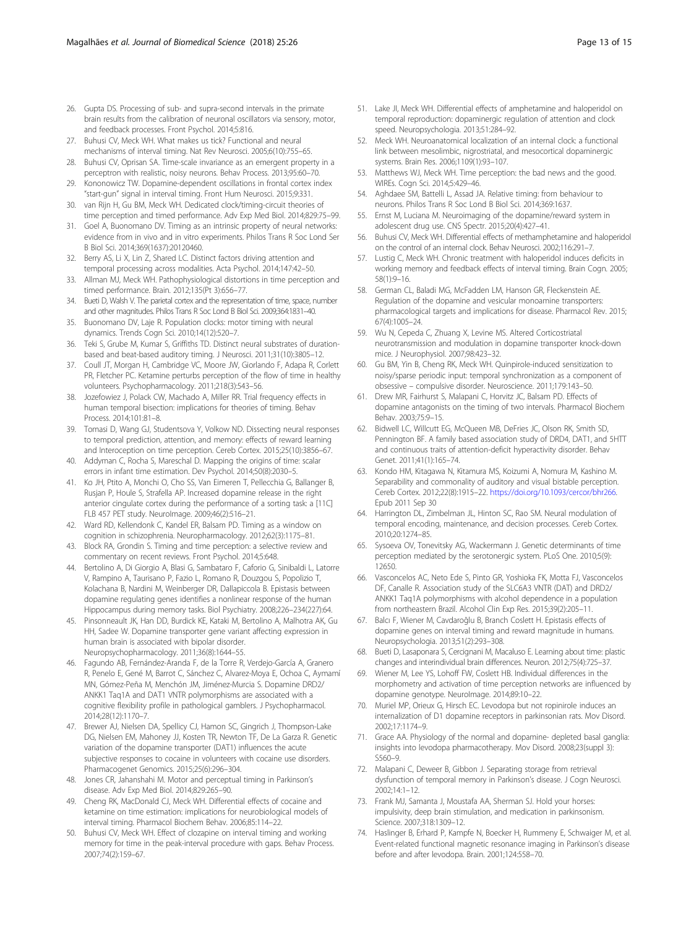- <span id="page-12-0"></span>26. Gupta DS. Processing of sub- and supra-second intervals in the primate brain results from the calibration of neuronal oscillators via sensory, motor, and feedback processes. Front Psychol. 2014;5:816.
- 27. Buhusi CV, Meck WH. What makes us tick? Functional and neural mechanisms of interval timing. Nat Rev Neurosci. 2005;6(10):755–65. 28. Buhusi CV, Oprisan SA. Time-scale invariance as an emergent property in a
- perceptron with realistic, noisy neurons. Behav Process. 2013;95:60–70. 29. Kononowicz TW. Dopamine-dependent oscillations in frontal cortex index
- "start-gun" signal in interval timing. Front Hum Neurosci. 2015;9:331.
- 30. van Rijn H, Gu BM, Meck WH. Dedicated clock/timing-circuit theories of time perception and timed performance. Adv Exp Med Biol. 2014;829:75–99.
- 31. Goel A, Buonomano DV. Timing as an intrinsic property of neural networks: evidence from in vivo and in vitro experiments. Philos Trans R Soc Lond Ser B Biol Sci. 2014;369(1637):20120460.
- 32. Berry AS, Li X, Lin Z, Shared LC. Distinct factors driving attention and temporal processing across modalities. Acta Psychol. 2014;147:42–50.
- 33. Allman MJ, Meck WH. Pathophysiological distortions in time perception and timed performance. Brain. 2012;135(Pt 3):656–77.
- 34. Bueti D, Walsh V. The parietal cortex and the representation of time, space, number and other magnitudes. Philos Trans R Soc Lond B Biol Sci. 2009;364:1831–40.
- 35. Buonomano DV, Laje R. Population clocks: motor timing with neural dynamics. Trends Cogn Sci. 2010;14(12):520–7.
- 36. Teki S, Grube M, Kumar S, Griffiths TD. Distinct neural substrates of durationbased and beat-based auditory timing. J Neurosci. 2011;31(10):3805–12.
- 37. Coull JT, Morgan H, Cambridge VC, Moore JW, Giorlando F, Adapa R, Corlett PR, Fletcher PC. Ketamine perturbs perception of the flow of time in healthy volunteers. Psychopharmacology. 2011;218(3):543–56.
- 38. Jozefowiez J, Polack CW, Machado A, Miller RR. Trial frequency effects in human temporal bisection: implications for theories of timing. Behav Process. 2014;101:81–8.
- 39. Tomasi D, Wang GJ, Studentsova Y, Volkow ND. Dissecting neural responses to temporal prediction, attention, and memory: effects of reward learning and Interoception on time perception. Cereb Cortex. 2015;25(10):3856–67.
- 40. Addyman C, Rocha S, Mareschal D. Mapping the origins of time: scalar errors in infant time estimation. Dev Psychol. 2014;50(8):2030–5.
- 41. Ko JH, Ptito A, Monchi O, Cho SS, Van Eimeren T, Pellecchia G, Ballanger B, Rusjan P, Houle S, Strafella AP. Increased dopamine release in the right anterior cingulate cortex during the performance of a sorting task: a [11C] FLB 457 PET study. NeuroImage. 2009;46(2):516–21.
- 42. Ward RD, Kellendonk C, Kandel ER, Balsam PD. Timing as a window on cognition in schizophrenia. Neuropharmacology. 2012;62(3):1175–81.
- 43. Block RA, Grondin S. Timing and time perception: a selective review and commentary on recent reviews. Front Psychol. 2014;5:648.
- 44. Bertolino A, Di Giorgio A, Blasi G, Sambataro F, Caforio G, Sinibaldi L, Latorre V, Rampino A, Taurisano P, Fazio L, Romano R, Douzgou S, Popolizio T, Kolachana B, Nardini M, Weinberger DR, Dallapiccola B. Epistasis between dopamine regulating genes identifies a nonlinear response of the human Hippocampus during memory tasks. Biol Psychiatry. 2008;226–234(227):64.
- 45. Pinsonneault JK, Han DD, Burdick KE, Kataki M, Bertolino A, Malhotra AK, Gu HH, Sadee W. Dopamine transporter gene variant affecting expression in human brain is associated with bipolar disorder. Neuropsychopharmacology. 2011;36(8):1644–55.
- 46. Fagundo AB, Fernández-Aranda F, de la Torre R, Verdejo-García A, Granero R, Penelo E, Gené M, Barrot C, Sánchez C, Alvarez-Moya E, Ochoa C, Aymamí MN, Gómez-Peña M, Menchón JM, Jiménez-Murcia S. Dopamine DRD2/ ANKK1 Taq1A and DAT1 VNTR polymorphisms are associated with a cognitive flexibility profile in pathological gamblers. J Psychopharmacol. 2014;28(12):1170–7.
- 47. Brewer AJ, Nielsen DA, Spellicy CJ, Hamon SC, Gingrich J, Thompson-Lake DG, Nielsen EM, Mahoney JJ, Kosten TR, Newton TF, De La Garza R. Genetic variation of the dopamine transporter (DAT1) influences the acute subjective responses to cocaine in volunteers with cocaine use disorders. Pharmacogenet Genomics. 2015;25(6):296–304.
- 48. Jones CR, Jahanshahi M. Motor and perceptual timing in Parkinson's disease. Adv Exp Med Biol. 2014;829:265–90.
- 49. Cheng RK, MacDonald CJ, Meck WH. Differential effects of cocaine and ketamine on time estimation: implications for neurobiological models of interval timing. Pharmacol Biochem Behav. 2006;85:114–22.
- 50. Buhusi CV, Meck WH. Effect of clozapine on interval timing and working memory for time in the peak-interval procedure with gaps. Behav Process. 2007;74(2):159–67.
- 51. Lake JI, Meck WH. Differential effects of amphetamine and haloperidol on temporal reproduction: dopaminergic regulation of attention and clock speed. Neuropsychologia. 2013;51:284–92.
- 52. Meck WH. Neuroanatomical localization of an internal clock: a functional link between mesolimbic, nigrostriatal, and mesocortical dopaminergic systems. Brain Res. 2006;1109(1):93–107.
- 53. Matthews WJ, Meck WH. Time perception: the bad news and the good. WIREs. Cogn Sci. 2014;5:429–46.
- 54. Aghdaee SM, Battelli L, Assad JA. Relative timing: from behaviour to neurons. Philos Trans R Soc Lond B Biol Sci. 2014;369:1637.
- Ernst M, Luciana M. Neuroimaging of the dopamine/reward system in adolescent drug use. CNS Spectr. 2015;20(4):427–41.
- 56. Buhusi CV, Meck WH. Differential effects of methamphetamine and haloperidol on the control of an internal clock. Behav Neurosci. 2002;116:291–7.
- 57. Lustig C, Meck WH. Chronic treatment with haloperidol induces deficits in working memory and feedback effects of interval timing. Brain Cogn. 2005; 58(1):9–16.
- 58. German CL, Baladi MG, McFadden LM, Hanson GR, Fleckenstein AE. Regulation of the dopamine and vesicular monoamine transporters: pharmacological targets and implications for disease. Pharmacol Rev. 2015; 67(4):1005–24.
- 59. Wu N, Cepeda C, Zhuang X, Levine MS. Altered Corticostriatal neurotransmission and modulation in dopamine transporter knock-down mice. J Neurophysiol. 2007;98:423–32.
- 60. Gu BM, Yin B, Cheng RK, Meck WH. Quinpirole-induced sensitization to noisy/sparse periodic input: temporal synchronization as a component of obsessive – compulsive disorder. Neuroscience. 2011;179:143–50.
- 61. Drew MR, Fairhurst S, Malapani C, Horvitz JC, Balsam PD. Effects of dopamine antagonists on the timing of two intervals. Pharmacol Biochem Behav. 2003;75:9–15.
- 62. Bidwell LC, Willcutt EG, McQueen MB, DeFries JC, Olson RK, Smith SD, Pennington BF. A family based association study of DRD4, DAT1, and 5HTT and continuous traits of attention-deficit hyperactivity disorder. Behav Genet. 2011;41(1):165–74.
- 63. Kondo HM, Kitagawa N, Kitamura MS, Koizumi A, Nomura M, Kashino M. Separability and commonality of auditory and visual bistable perception. Cereb Cortex. 2012;22(8):1915–22. [https://doi.org/10.1093/cercor/bhr266.](https://doi.org/10.1093/cercor/bhr266) Epub 2011 Sep 30
- 64. Harrington DL, Zimbelman JL, Hinton SC, Rao SM. Neural modulation of temporal encoding, maintenance, and decision processes. Cereb Cortex. 2010;20:1274–85.
- 65. Sysoeva OV, Tonevitsky AG, Wackermann J. Genetic determinants of time perception mediated by the serotonergic system. PLoS One. 2010;5(9): 12650.
- 66. Vasconcelos AC, Neto Ede S, Pinto GR, Yoshioka FK, Motta FJ, Vasconcelos DF, Canalle R. Association study of the SLC6A3 VNTR (DAT) and DRD2/ ANKK1 Taq1A polymorphisms with alcohol dependence in a population from northeastern Brazil. Alcohol Clin Exp Res. 2015;39(2):205–11.
- 67. Balcı F, Wiener M, Cavdaroğlu B, Branch Coslett H. Epistasis effects of dopamine genes on interval timing and reward magnitude in humans. Neuropsychologia. 2013;51(2):293–308.
- Bueti D, Lasaponara S, Cercignani M, Macaluso E. Learning about time: plastic changes and interindividual brain differences. Neuron. 2012;75(4):725–37.
- 69. Wiener M, Lee YS, Lohoff FW, Coslett HB. Individual differences in the morphometry and activation of time perception networks are influenced by dopamine genotype. NeuroImage. 2014;89:10–22.
- 70. Muriel MP, Orieux G, Hirsch EC. Levodopa but not ropinirole induces an internalization of D1 dopamine receptors in parkinsonian rats. Mov Disord. 2002;17:1174–9.
- 71. Grace AA. Physiology of the normal and dopamine- depleted basal ganglia: insights into levodopa pharmacotherapy. Mov Disord. 2008;23(suppl 3):  $5560 - 9$
- 72. Malapani C, Deweer B, Gibbon J. Separating storage from retrieval dysfunction of temporal memory in Parkinson's disease. J Cogn Neurosci. 2002;14:1–12.
- 73. Frank MJ, Samanta J, Moustafa AA, Sherman SJ. Hold your horses: impulsivity, deep brain stimulation, and medication in parkinsonism. Science. 2007;318:1309–12.
- 74. Haslinger B, Erhard P, Kampfe N, Boecker H, Rummeny E, Schwaiger M, et al. Event-related functional magnetic resonance imaging in Parkinson's disease before and after levodopa. Brain. 2001;124:558–70.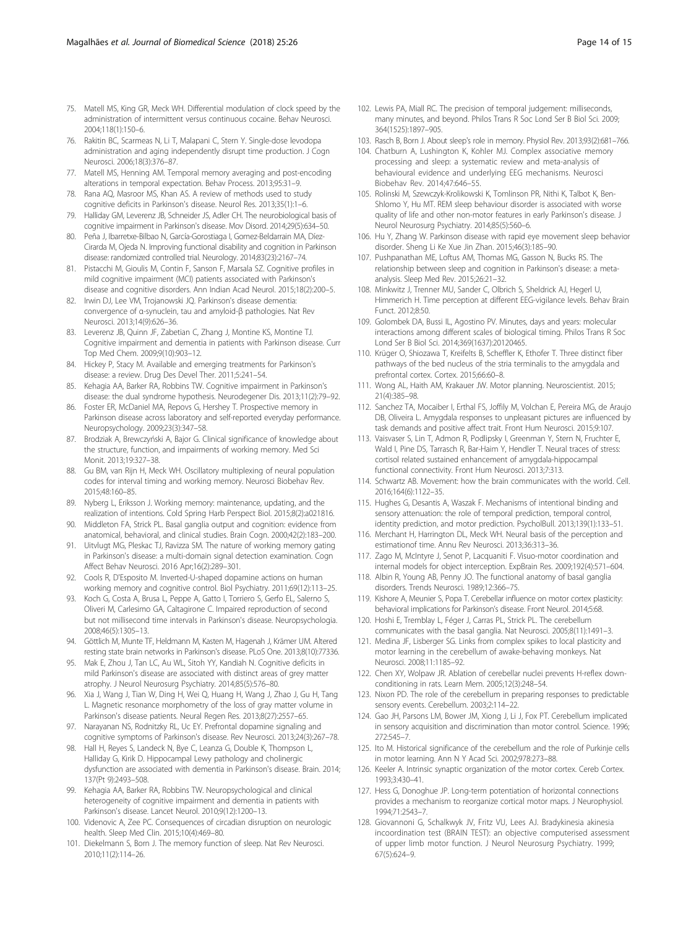- <span id="page-13-0"></span>75. Matell MS, King GR, Meck WH. Differential modulation of clock speed by the administration of intermittent versus continuous cocaine. Behav Neurosci. 2004;118(1):150–6.
- 76. Rakitin BC, Scarmeas N, Li T, Malapani C, Stern Y. Single-dose levodopa administration and aging independently disrupt time production. J Cogn Neurosci. 2006;18(3):376–87.
- 77. Matell MS, Henning AM. Temporal memory averaging and post-encoding alterations in temporal expectation. Behav Process. 2013;95:31–9.
- 78. Rana AQ, Masroor MS, Khan AS. A review of methods used to study cognitive deficits in Parkinson's disease. Neurol Res. 2013;35(1):1–6.
- 79. Halliday GM, Leverenz JB, Schneider JS, Adler CH. The neurobiological basis of cognitive impairment in Parkinson's disease. Mov Disord. 2014;29(5):634–50.
- 80. Peña J, Ibarretxe-Bilbao N, García-Gorostiaga I, Gomez-Beldarrain MA, Díez-Cirarda M, Ojeda N. Improving functional disability and cognition in Parkinson disease: randomized controlled trial. Neurology. 2014;83(23):2167–74.
- 81. Pistacchi M, Gioulis M, Contin F, Sanson F, Marsala SZ. Cognitive profiles in mild cognitive impairment (MCI) patients associated with Parkinson's disease and cognitive disorders. Ann Indian Acad Neurol. 2015;18(2):200–5.
- 82. Irwin DJ, Lee VM, Trojanowski JQ. Parkinson's disease dementia: convergence of α-synuclein, tau and amyloid-β pathologies. Nat Rev Neurosci. 2013;14(9):626–36.
- 83. Leverenz JB, Quinn JF, Zabetian C, Zhang J, Montine KS, Montine TJ. Cognitive impairment and dementia in patients with Parkinson disease. Curr Top Med Chem. 2009;9(10):903–12.
- 84. Hickey P, Stacy M. Available and emerging treatments for Parkinson's disease: a review. Drug Des Devel Ther. 2011;5:241–54.
- 85. Kehagia AA, Barker RA, Robbins TW. Cognitive impairment in Parkinson's disease: the dual syndrome hypothesis. Neurodegener Dis. 2013;11(2):79–92.
- 86. Foster ER, McDaniel MA, Repovs G, Hershey T. Prospective memory in Parkinson disease across laboratory and self-reported everyday performance. Neuropsychology. 2009;23(3):347–58.
- 87. Brodziak A, Brewczyński A, Bajor G. Clinical significance of knowledge about the structure, function, and impairments of working memory. Med Sci Monit. 2013;19:327–38.
- 88. Gu BM, van Rijn H, Meck WH. Oscillatory multiplexing of neural population codes for interval timing and working memory. Neurosci Biobehav Rev. 2015;48:160–85.
- 89. Nyberg L, Eriksson J. Working memory: maintenance, updating, and the realization of intentions. Cold Spring Harb Perspect Biol. 2015;8(2):a021816.
- Middleton FA, Strick PL. Basal ganglia output and cognition: evidence from anatomical, behavioral, and clinical studies. Brain Cogn. 2000;42(2):183–200.
- 91. Uitvlugt MG, Pleskac TJ, Ravizza SM. The nature of working memory gating in Parkinson's disease: a multi-domain signal detection examination. Cogn Affect Behav Neurosci. 2016 Apr;16(2):289–301.
- 92. Cools R, D'Esposito M. Inverted-U-shaped dopamine actions on human working memory and cognitive control. Biol Psychiatry. 2011;69(12):113–25.
- 93. Koch G, Costa A, Brusa L, Peppe A, Gatto I, Torriero S, Gerfo EL, Salerno S, Oliveri M, Carlesimo GA, Caltagirone C. Impaired reproduction of second but not millisecond time intervals in Parkinson's disease. Neuropsychologia. 2008;46(5):1305–13.
- 94. Göttlich M, Munte TF, Heldmann M, Kasten M, Hagenah J, Krämer UM. Altered resting state brain networks in Parkinson's disease. PLoS One. 2013;8(10):77336.
- 95. Mak E, Zhou J, Tan LC, Au WL, Sitoh YY, Kandiah N. Cognitive deficits in mild Parkinson's disease are associated with distinct areas of grey matter atrophy. J Neurol Neurosurg Psychiatry. 2014;85(5):576–80.
- 96. Xia J, Wang J, Tian W, Ding H, Wei Q, Huang H, Wang J, Zhao J, Gu H, Tang L. Magnetic resonance morphometry of the loss of gray matter volume in Parkinson's disease patients. Neural Regen Res. 2013;8(27):2557–65.
- 97. Narayanan NS, Rodnitzky RL, Uc EY. Prefrontal dopamine signaling and cognitive symptoms of Parkinson's disease. Rev Neurosci. 2013;24(3):267–78.
- 98. Hall H, Reyes S, Landeck N, Bye C, Leanza G, Double K, Thompson L, Halliday G, Kirik D. Hippocampal Lewy pathology and cholinergic dysfunction are associated with dementia in Parkinson's disease. Brain. 2014; 137(Pt 9):2493–508.
- 99. Kehagia AA, Barker RA, Robbins TW. Neuropsychological and clinical heterogeneity of cognitive impairment and dementia in patients with Parkinson's disease. Lancet Neurol. 2010;9(12):1200–13.
- 100. Videnovic A, Zee PC. Consequences of circadian disruption on neurologic health. Sleep Med Clin. 2015;10(4):469–80.
- 101. Diekelmann S, Born J. The memory function of sleep. Nat Rev Neurosci. 2010;11(2):114–26.
- 102. Lewis PA, Miall RC. The precision of temporal judgement: milliseconds, many minutes, and beyond. Philos Trans R Soc Lond Ser B Biol Sci. 2009; 364(1525):1897–905.
- 103. Rasch B, Born J. About sleep's role in memory. Physiol Rev. 2013;93(2):681–766.
- 104. Chatburn A, Lushington K, Kohler MJ. Complex associative memory processing and sleep: a systematic review and meta-analysis of behavioural evidence and underlying EEG mechanisms. Neurosci Biobehav Rev. 2014;47:646–55.
- 105. Rolinski M, Szewczyk-Krolikowski K, Tomlinson PR, Nithi K, Talbot K, Ben-Shlomo Y, Hu MT. REM sleep behaviour disorder is associated with worse quality of life and other non-motor features in early Parkinson's disease. J Neurol Neurosurg Psychiatry. 2014;85(5):560–6.
- 106. Hu Y, Zhang W. Parkinson disease with rapid eye movement sleep behavior disorder. Sheng Li Ke Xue Jin Zhan. 2015;46(3):185–90.
- 107. Pushpanathan ME, Loftus AM, Thomas MG, Gasson N, Bucks RS. The relationship between sleep and cognition in Parkinson's disease: a metaanalysis. Sleep Med Rev. 2015;26:21–32.
- 108. Minkwitz J, Trenner MU, Sander C, Olbrich S, Sheldrick AJ, Hegerl U, Himmerich H. Time perception at different EEG-vigilance levels. Behav Brain Funct. 2012;8:50.
- 109. Golombek DA, Bussi IL, Agostino PV. Minutes, days and years: molecular interactions among different scales of biological timing. Philos Trans R Soc Lond Ser B Biol Sci. 2014;369(1637):20120465.
- 110. Krüger O, Shiozawa T, Kreifelts B, Scheffler K, Ethofer T. Three distinct fiber pathways of the bed nucleus of the stria terminalis to the amygdala and prefrontal cortex. Cortex. 2015;66:60–8.
- 111. Wong AL, Haith AM, Krakauer JW. Motor planning. Neuroscientist. 2015; 21(4):385–98.
- 112. Sanchez TA, Mocaiber I, Erthal FS, Joffily M, Volchan E, Pereira MG, de Araujo DB, Oliveira L. Amygdala responses to unpleasant pictures are influenced by task demands and positive affect trait. Front Hum Neurosci. 2015;9:107.
- 113. Vaisvaser S, Lin T, Admon R, Podlipsky I, Greenman Y, Stern N, Fruchter E, Wald I, Pine DS, Tarrasch R, Bar-Haim Y, Hendler T. Neural traces of stress: cortisol related sustained enhancement of amygdala-hippocampal functional connectivity. Front Hum Neurosci. 2013;7:313.
- 114. Schwartz AB. Movement: how the brain communicates with the world. Cell. 2016;164(6):1122–35.
- 115. Hughes G, Desantis A, Waszak F. Mechanisms of intentional binding and sensory attenuation: the role of temporal prediction, temporal control identity prediction, and motor prediction. PsycholBull. 2013;139(1):133–51.
- 116. Merchant H, Harrington DL, Meck WH. Neural basis of the perception and estimationof time. Annu Rev Neurosci. 2013;36:313–36.
- 117. Zago M, McIntyre J, Senot P, Lacquaniti F. Visuo-motor coordination and internal models for object interception. ExpBrain Res. 2009;192(4):571–604.
- 118. Albin R, Young AB, Penny JO. The functional anatomy of basal ganglia disorders. Trends Neurosci. 1989;12:366–75.
- 119. Kishore A, Meunier S, Popa T. Cerebellar influence on motor cortex plasticity: behavioral implications for Parkinson's disease. Front Neurol. 2014;5:68.
- 120. Hoshi E, Tremblay L, Féger J, Carras PL, Strick PL. The cerebellum communicates with the basal ganglia. Nat Neurosci. 2005;8(11):1491–3.
- 121. Medina JF, Lisberger SG. Links from complex spikes to local plasticity and motor learning in the cerebellum of awake-behaving monkeys. Nat Neurosci. 2008;11:1185–92.
- 122. Chen XY, Wolpaw JR. Ablation of cerebellar nuclei prevents H-reflex downconditioning in rats. Learn Mem. 2005;12(3):248–54.
- 123. Nixon PD. The role of the cerebellum in preparing responses to predictable sensory events. Cerebellum. 2003;2:114–22.
- 124. Gao JH, Parsons LM, Bower JM, Xiong J, Li J, Fox PT. Cerebellum implicated in sensory acquisition and discrimination than motor control. Science. 1996; 272:545–7.
- 125. Ito M. Historical significance of the cerebellum and the role of Purkinje cells in motor learning. Ann N Y Acad Sci. 2002;978:273–88.
- 126. Keeler A. Intrinsic synaptic organization of the motor cortex. Cereb Cortex. 1993;3:430–41.
- 127. Hess G, Donoghue JP. Long-term potentiation of horizontal connections provides a mechanism to reorganize cortical motor maps. J Neurophysiol. 1994;71:2543–7.
- 128. Giovannoni G, Schalkwyk JV, Fritz VU, Lees AJ. Bradykinesia akinesia incoordination test (BRAIN TEST): an objective computerised assessment of upper limb motor function. J Neurol Neurosurg Psychiatry. 1999; 67(5):624–9.